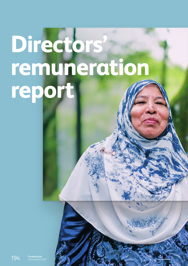# <span id="page-0-0"></span>**Directors' remuneration report**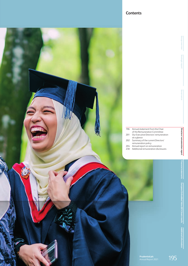



|     | 196 Annual statement from the Chair   |
|-----|---------------------------------------|
|     | of the Remuneration Committee         |
| 201 | Our Executive Directors' remuneration |

- at a glance 202 Summary of the current Directors'
- remuneration policy 204 Annual report on remuneration
- 230 Additional remuneration disclosures

**Group overview**

Group overview

**Strategic report**

btrategic repor-

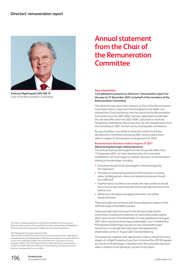

**Anthony Nightingale CMG SBS JP**  Chair of the Remuneration Committee

This report has been prepared to comply with Schedule 8 of The Companies (Directors' Remuneration Policy and Directors' Remuneration Report) Regulations 2019, as well as the Companies Act 2006 and other related regulations.

#### The following sections were subject to audit:

Table of 2021 and 2020 Executive Director total remuneration (the 'single figure') and related notes (including details of all fixed and variable remuneration elements shown in the single figure table), Pension entitlements, Long-term incentives awarded in 2021, Chair of the Board and Non-executive Director remuneration in 2021 and 2020, Statement of Directors' shareholdings and Payments to past Directors and payments for loss of office.

# **Annual statement from the Chair of the Remuneration Committee**

#### **Dear shareholder,**

**I am pleased to present our Directors' remuneration report for the yearto 31 December 2021 on behalf of the members of the Remuneration Committee.**

This will be the last report that I present as Chair of the Remuneration Committee before I step down from the Board at the AGM. I am pleased that Chua Sock Koong, who has served on the Remuneration Committee since the 2021 AGM, has been appointed to undertake this role with effect from the 2022 AGM. I also want to thank Kai Nargolwala, Fields Wicker-Miurin and Amy Yip, who stepped down from the Committee in 2021, for their service and valuable contribution.

By way of preface, I would like to share the context for the key decisions the Committee took during 2021 and to outline those taken in respect of remuneration arrangements for 2022.

#### **Remuneration decisions made in respect of 2021 Determining demerger-related decisions**

The Jackson business demerged from the Group with effect from 13 September 2021. As I described last year, the Committee established a set of principles to underpin decisions on remuneration relating to the demerger, including:

- **>** Executives should not be advantaged or disadvantaged by the separation;
- **>** The value of outstanding awards and their key terms (vesting dates, holding periods, malus and clawback provisions) should be unaffected;
- **>** If performance conditions are revised, the new conditions should be no more or less stretching than those originally attached to the awards; and
- **>** Where the Committee has applied discretion, this will be clearly disclosed.

These principles are consistent with those adopted in respect of the 2019 demerger of the M&G business.

These principles were the basis for the decisions taken by the Committee, including the treatment of outstanding share awards which were set out in the Shareholder Circular published on 6 August 2021 which can be found at www.prudentialplc.com/~/media/Files/ P/Prudential-V3/demerger-transaction-documents/demergertransaction-circular.pdf and voted upon and approved by shareholders at the 27 August 2021 General Meeting.

This treatment, together with adjustments made to the performance targets of in-flight Prudential Long Term Incentive Plan (PLTIP) awards as a result of the demerger, is detailed in the 'Remuneration decisions taken in relation to the demerger' section of this report.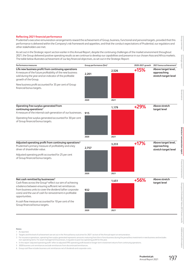#### **Reflecting 2021 financial performance**

Prudential's executive remuneration arrangements reward the achievement of Group, business, functional and personal targets, provided that this performance is delivered within the Company's risk framework and appetites, and that the conduct expectations of Prudential, our regulators and other stakeholders are met.

As set out in the Strategic report section earlier in this Annual Report, despite the continuing challenges of the market environment throughout 2021, the Group delivered positive operating results as we continue to develop our capabilities and presence in our chosen Asia and Africa markets. The table below illustrates achievement of our key financial objectives, as set out in the Strategic Report:

| Performance measures                                                                                                                                                                                | Group performance (\$m) <sup>1</sup> |       | 2020-2021 growth | 2021 bonus achievement <sup>2</sup>                        |  |
|-----------------------------------------------------------------------------------------------------------------------------------------------------------------------------------------------------|--------------------------------------|-------|------------------|------------------------------------------------------------|--|
| Life new business profit from continuing operations<br>A measure of the future profitability of the new business<br>sold during the year and an indicator of the profitable<br>growth of the Group. | 2,201                                | 2,526 | $+15%$           | Above target level,<br>approaching<br>stretch target level |  |
| New business profit accounted for 35 per cent of Group<br>financial bonus targets.                                                                                                                  |                                      |       |                  |                                                            |  |
|                                                                                                                                                                                                     | 2020                                 | 2021  |                  |                                                            |  |
| <b>Operating free surplus generated from</b><br>continuing operations <sup>3</sup><br>A measure of the internal cash generation of our businesses.                                                  | 915                                  | 1,179 | $+29%$           | Above stretch<br>target level                              |  |
| Operating free surplus generated accounted for 30 per cent<br>of Group financial bonus targets.                                                                                                     |                                      |       |                  |                                                            |  |
|                                                                                                                                                                                                     | 2020                                 | 2021  |                  |                                                            |  |
| Adjusted operating profit from continuing operations <sup>4</sup><br>Prudential's primary measure of profitability and a key<br>driver of shareholder value.                                        | 2,757                                | 3,233 | $+17%$           | Above target level,<br>approaching<br>stretch target level |  |
| Adjusted operating profit accounted for 25 per cent<br>of Group financial bonus targets.                                                                                                            |                                      |       |                  |                                                            |  |
|                                                                                                                                                                                                     | 2020                                 | 2021  |                  |                                                            |  |
| Net cash remitted by businesses <sup>5</sup><br>Cash flows across the Group <sup>6</sup> reflect our aim of achieving<br>a balance between ensuring sufficient net remittances                      |                                      | 1,451 | +56%             | Above stretch<br>target level                              |  |
| from business units to cover the dividend (after corporate<br>costs) and the use of cash for reinvestment in profitable<br>opportunities.                                                           | 932                                  |       |                  |                                                            |  |
| A cash flow measure accounted for 10 per cent of the<br>Group financial bonus targets.                                                                                                              |                                      |       |                  |                                                            |  |
|                                                                                                                                                                                                     | 2020                                 | 2021  |                  |                                                            |  |

- 1 As reported.
- 2 Targets and the level of achievement are set out in the 'Annual bonus outcomes for 2021' section of the Annual report on remuneration.
- 3 For insurance operations, operating free surplus generated represents amounts maturing from the in-force business during the period less investment in new business and excludes non-operating items. For asset management businesses, it equates to post-tax operating profit for the year.
- 4 In this report 'adjusted operating profit' refers to adjusted IFRS operating profit based on longer-term investment returns from continuing operations.
- 5 2020 business unit remittances exclude remittances from discontinued remittances.
- 6 Group cash flow includes business unit remittances net of dividends and corporate costs.

**Governance**

**[Directors' remuneration report](#page-0-0)**

Directors' remuneration report

**Financial statements**

Financial statements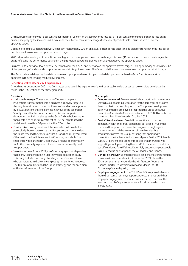Life new business profit was 15 per cent higher than prior year on an actual exchange rate basis (13 per cent on a constant exchange rate basis) driven principally by the increase in APE sales and the effect of favourable changes to the mix of products sold. This result was above the approved target.

Operating free surplus generation was 29 per cent higher than 2020 on an actual exchange rate basis (and 26 on a constant exchange rate basis) and this result was above the approved stretch target.

2021 adjusted operating profit was 17 per cent higher than prior year on an actual exchange rate basis (16 per cent on a constant exchange rate basis) reflecting the performance outlined in the Strategic report, and delivered a result that is above the approved target.

Business units remittance levels were 56 per cent higher than 2020 and were above the approved stretch target. Holding company cash was \$3.6bn at the year end, after dividends, corporate costs and strategic investment. The Group cash flow measure was above the approved stretch target.

The Group achieved these results while maintaining appropriate levels of capital and while operating within the Group's risk framework and appetites in the challenging market environment.

#### **Reflecting stakeholders' 2021 experiences**

In reaching its decisions for 2021, the Committee considered the experience of the Group's stakeholders, as set out below. More details can be found in the ESG section of the Strategic report.

#### *Investors*

- **> Jackson demerger:** The separation of Jackson completed Prudential's transformation into a business exclusively targeting the long-term structural opportunities of Asia and Africa, supported by a 99.65 per cent shareholder vote in favour of the separation. Shortly thereafter the Board declared a dividend in specie, distributing the Jackson shares to the Group's shareholders, other than a retained financial investment of 18.4 per cent that will be sold down to less than 10 per cent within 12 months.
- **> Equity raise:** Having considered the interests of all stakeholders, particularly those expressed by the Group's existing shareholders, the Board reached the conclusion that a Hong Kong Fully Marketed Offer was in the best interests of the Company as a whole. The share offer was launched in October 2021, raising approximately \$2.4 billion in equity, a portion of which was subsequently used to repay debt.
- **> Investor survey:** In late 2021, the Group engaged an independent third party to undertake an in-depth investor perception study. Thisstudy included both long-standing shareholders and those who participated in the Hong Kong equity raise referred to above. The topics covered included the Group's strategy and the execution of the transformation of the Group.

#### *Our people*

- **> Celebration Award:** To recognise the hard work and commitment shown by our people in preparation for the demerger and to give them a stake in the new chapter of the Company's development, each Prudential plc employee (other than the Group Executive Committee) received a Celebration Award of US\$1,000 of restricted shares which will be released in October 2022.
- **> Covid-19 and wellness:** Covid-19 has continued to be the dominant health and safety concern for our people. Prudential continued to support and protect colleagues through regular communication and the extension of health and safety programmes across the Group, ensuring that appropriate precautions are implemented in the workplace. In the 2021 People Survey, 91 per cent of respondents agreed that the Group was supporting employees during the Covid-19 pandemic. In addition, our offices closed for a Wellness Day in July, encouraging our people to rest, recharge and to spend time with family and friends.
- **> Gender diversity:** Prudential achieved c35 per cent representation of women in senior leadership at the end of 2021, above the 30 per cent commitment under the HM Treasury 'Women in Finance Charter'. Prudential was also included in the 2021 Bloomberg Gender-Equality Index.
- **> Employee engagement:** The 2021 People Survey, in which more than 95 per cent of employees participated, demonstrated that employee engagement continued to increase, up 3 per cent this year and a total of 4 per cent since our first Group-wide survey in May 2020.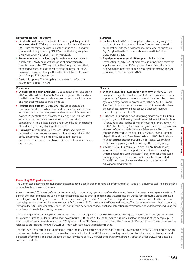#### *Governments and Regulators*

- **> Finalisation of the revised basis of Group regulatory capital known as 'GWS':** GWS legislation became effective on 29 March 2021, with the formal designation of the Group as a Designated Insurance Holding Company ('DIHC') under the Hong Kong IA's GWS Framework with effect from 14 May 2021.
- **> Engagement with the lead regulator:** Management worked closely with HKIA to support finalisation of preparations for compliance with the GWS legislation. The Group also proactively engaged with regulators in advance of the demerger of the US business and worked closely with the HKIA and the HKSE ahead of the Group's 2021 equity raise.
- **> Covid-19 support:** The Group has not received any Covid-19 government support in 2021.

#### *Customers*

- **> Digital responsibility and Pulse:** Pulse continued to evolve during 2021 with the roll-out of Wealth@Pulse in Singapore, Thailand and the Philippines. This wealth offering gives access to wealth services and high quality advice to a wider market.
- **> Product development:** During 2021, the Group created the concept of 'Modern Families' to support the development of more inclusive products that recognise that the concept of families has evolved. Prudential has also worked to simplify product brochures, information on our corporate website and our marketing campaigns to enable customers to understand the risk and benefits of products by looking at a single fact sheet.
- **> Claims promise:** During 2021, the Group launched its claims promise for customers in Asia to support its customers during life's difficult moments. The promise includes commitments to timeliness, communication with care, fairness, customer experience and privacy.

#### *Suppliers*

- **> Partnership:** In 2021, the Group focused on moving away from a culture of regarding external firms as 'vendors' to improved collaboration, with the development of key digital partnerships (eg, Babylon Health). To date, we have entered into 56 key digital partnerships.
- **> Rapid payments to small UK suppliers:** Following the introduction in early 2020 of more favourable payment terms for suppliers with less than 100 employees ('Jump Pay'), the Group achieved a payment rate of 86.5 per cent within 30 days in 2021, compared to 76.5 per cent in 2020.

#### *Society*

- **> Working towards a lower carbon economy:** In May 2021, the Group set a target to be net zero by 2050 for our insurance assets, supported by 25 per cent reduction in emissions from the portfolio by 2025, a target which is incorporated in the 2022 PLTIP award. The Group is on track for achievement of this target and achieved the exit of coal equity holdings (above 30 per cent revenue threshold) by the end of 2021.
- **> Prudence Foundation's** award-winning programme **Cha-Ching** is building financial literacy for millions of children. It is available in 13 languages, and reaches 35 million households every day on TV. In 2021, the Cha-Ching Curriculum programme expanded in Africa, where the Group worked with Junior Achievement Africa to bring this to 5,000 primary school students in Kenya, Ghana, Zambia, Nigeria, Uganda and Côte d'Ivoire. In March 2021, the Prudence Foundation supported the OECD's Global Money Week which aimed to equip young people to manage their money wisely.
- **> Covid-19 Relief Fund:** In 2021, a new US\$2 million fund was launched to continue to support communities still struggling with the pandemic. Local businesses' programmes have focused on supporting vulnerable communities on efforts that include Covid-19 messaging, hygiene and sanitation, nutrition and educational programmes.

#### **Rewarding 2021 performance**

The Committee determined remuneration outcomes having considered the financial performance of the Group, its delivery to stakeholders and the personal contribution of executives.

As set out above, 2021 saw the Group perform strongly against its key operating profit and operating free surplus generation targets in the face of difficult external conditions, including ongoing challenges caused by the pandemic and travel restrictions. At the same time, the Group achieved several significant strategic milestones as it became exclusively focused on Asia and Africa. This performance, combined with effective personal leadership, resulted in overall bonus outcomes of 96.7 per cent - 98.7 per cent for the Executive Directors. The Committee believes that the bonuses it awarded for 2021 appropriately reflect underlying Group performance, individual and/or functional performance and wider factors, including the experience of stakeholders during the year.

Over the longer term, the Group has shown strong performance against the sustainability scorecard targets, however the portion (75 per cent) of the awards related to Prudential's total shareholder return (TSR) lapsed as TSR performance was ranked below the median of the peer group. On this basis, the Committee determined that 17.75 per cent of the PLTIP awards made to Executive Directors in 2019 would vest. These awards will be released to participants from April 2022 but remain subject to a two-year holding period.

The total 2021 remuneration or 'single figure' for the Group Chief Executive, Mike Wells, is 15 per cent lower than his total 2020 'single figure' which has been restated on the required basis to reflect the actual value of the PLTIP award at vesting, notwithstanding his exceptional leadership and personal performance. This chiefly reflects the level of vesting of his 2019 PLTIP award which was partially offset by a higher 2021 AIP outcome compared to 2020.

lents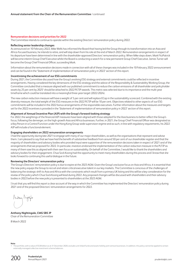#### **Remuneration decisions and priorities for 2022**

The Committee intends to continue to operate within the existing Directors' remuneration policy during 2022.

#### **Reflecting senior leadership changes**

As announced on 10 February 2022, Mike Wells has informed the Board that having led the Group through its transformation into an Asia and Africa-focused business, he intends to retire, and will step down from his role at the end of March 2022. Remuneration arrangements in respect of his departure have been determined in line with the shareholder-approved Directors' remuneration policy. When Mike steps down, Mark FitzPatrick will become interim Group Chief Executive whilst the Board is conducting a search for a new permanent Group Chief Executive. James Turner will become the Group Chief Financial Officer, succeeding Mark.

Information about the remuneration decisions made in connection with all of these changes was included in the 10 February 2022 announcement and can be found in the 'Statement of implementation of remuneration policy in 2022' section of this report.

#### **Incentivising the achievement of our ESG commitments**

During 2021, the Committee discussed how the Group's evolving ESG strategy and external commitments could be reflected in incentive arrangements. Having considered the key dimensions of the ESG strategy and the advice of the Responsibility & Sustainability Working Group, the Committee concluded that a measure aligned with our published commitment to reduce the carbon emissions of all shareholder and policyholder assets by 25 per cent by 2025<sup>1</sup> should be attached to 2022 PLTIP awards. This metric was selected due to its importance and the multi-year timeframe which could be translated into a meaningful three-year target (2022-2024).

The new carbon reduction measure will have a weight of 5 per cent and will replace ECap in the sustainability scorecard. Combined with the existing diversity measure, the total weight of the ESG measures in the 2022 PLTIP will be 10 per cent. Objectives related to other aspects of our ESG commitments will be included in the 2022 bonus arrangements of the responsible executives. Further information about the measures and targets set for the 2022 incentives is provided in the 'Statement of implementation of remuneration policy in 2022' section of this report.

#### **Alignment of Annual Incentive Plan (AIP) with the Group's forward-looking strategy**

For 2022, the weightings of the financial AIP measures have been aligned with those adopted for the Asia business to better reflect the Group's focus, following the demerger, on the high-growth Asia and Africa businesses. Further, in 2021, the Group Chief Financial Officer was designated as a Key Person in a Control Function under the Hong Kong Group-wide supervision regime and as such, in line with regulatory requirements, his 2022 AIP will include a functional element.

#### **Engaging shareholders on 2022 remuneration arrangements**

I had the opportunity during late 2021 to engage with many of our major shareholders, as well as the organisations that represent and advise them. I am pleased to say that we have had the benefit of substantive feedback from around 50 per cent of our shareholder register and that the majority of shareholders and advisory bodies who provided input were supportive of the remuneration decisions taken in respect of 2021 and of the arrangements that we proposed for 2022. In particular, investors endorsed the implementation of the carbon reduction measure in the PLTIP as many of them saw this as aligned with their own focus on sustainability. On behalf of the Committee, I would like to thank the shareholders and advisory bodies for their engagement. Chua Sock Koong had the opportunity to meet many shareholders during this process and I know that she looks forward to continuing this useful dialogue in the future.

#### **Reviewing the Directors' remuneration policy**

The Group's Directors' remuneration policy is due to expire at the 2023 AGM. Given the Group's exclusive focus on Asia and Africa, it is essential that the new policy equips the Group to recruit and retain critical executive talent in our key markets. The Committee is conscious of the challenges of balancing the strategic shift to Asia and Africa with the constraints which result from a primary UK listing and this will be a key consideration for the review of the policy which Chua Sock Koong will lead during 2022. Any proposed changes will be discussed with shareholders and their advisory bodies in 2022 before the new policy is presented to shareholders at the 2023 AGM.

I trust that you will find this report a clear account of the way in which the Committee has implemented the Directors' remuneration policy during 2021 and of the proposed Directors' remuneration arrangements for 2022.

**Anthony Nightingale, CMG SBS JP** Chair of the Remuneration Committee

8 March 2022

**Note**

The portfolio, with a value of \$128 billion as at 31 December 2020, excludes unit-linked funds and assets held by joint venture businesses. In addition, this policy cannot be applied to certain externally managed collective investment scheme balances.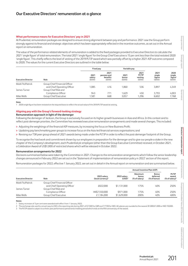#### **What performance means for Executive Directors' pay in 2021**

At Prudential, remuneration packages are designed to ensure strong alignment between pay and performance. 2021 saw the Group perform strongly against its financial and strategic objectives which has been appropriately reflected in the incentive outcomes, as set out in the Annual report on remuneration.

The value of the performance-related elements of remuneration is added to the fixed packages provided to Executive Directors to calculate the 2021 'single figure' of total remuneration. The total 2021 'single figure' for the Group Chief Executive is 15 per cent less than the total restated 2020 'single figure'. This chiefly reflects the level of vesting of the 2019 PLTIP award which was partially offset by a higher 2021 AIP outcome compared to 2020. The values for the current Executive Directors are outlined in the table below:

| <b>Executive Director</b> |                               | Fixed pay |                          | Variable pay                              |                         |                                           |                                    |
|---------------------------|-------------------------------|-----------|--------------------------|-------------------------------------------|-------------------------|-------------------------------------------|------------------------------------|
|                           |                               | Role      | 2021<br>salary<br>(5000) | 2021<br>pension and<br>benefits<br>(5000) | 2021<br>bonus<br>(5000) | 2021<br><b>PLTIP</b><br>vesting<br>(5000) | 2021<br>single<br>figure<br>(5000) |
| Mark FitzPatrick          | Group Chief Financial Officer |           |                          |                                           |                         |                                           |                                    |
|                           | and Chief Operating Officer   | 1.085     | 416                      | 1.860                                     | 536                     | 3.897                                     | 4,349                              |
| James Turner              | Group Chief Risk and          |           |                          |                                           |                         |                                           |                                    |
|                           | Compliance Officer            | 943       | 771                      | 1.629                                     | 450                     | 3.793                                     | 4.003                              |
| Mike Wells                | Group Chief Executive         | 1.581     | 668                      | 3.057                                     | .296                    | 6.602                                     | 7.768                              |

**Note**

1 2020 single figure has been restated on the required basis to reflect the actual value of the 2018 PLTIP award at vesting.

#### **Aligning pay with the Group's forward-looking strategy**

#### **Remuneration approach in light of the demerger**

Following the demerger of Jackson, the Group is exclusively focused on its higher growth businesses in Asia and Africa. In this context and to reflect post-demerger priorities, the Committee has reviewed executive remuneration arrangements and made several changes. This included:

- **>** Adjusting the weightings of the financial AIP measures, by increasing the focus on New Business Profit;
- **>** Updating pay benchmarking peer groups to increase focus on the Asia-led financial services organisations; and
- **>** Revising our TSR peer group ahead of 2021 awards being made under the PLTIP in order to reflect the post-demerger footprint of the Group.

To recognise the hard work and commitment shown by our employees in preparation for the demerger and to give our people a stake in the new chapter of the Company's development, each Prudential plc employee (other than the Group Executive Committee) received, in October 2021, a Celebration Award of US\$1,000 of restricted shares which will be released in October 2022.

#### **Remuneration arrangements for 2022**

Decisions summarised below were taken by the Committee in 2021. Changes to the remuneration arrangements which follow the senior leadership changes announced in February 2022 are set out in the 'Statement of implementation of remuneration policy in 2022' section of this report.

Remuneration packages for 2022, effective 1 January 2022, are set out in detail in the Annual report on remuneration and are summarised below.

| <b>Executive Director</b> |                                                              |                                              |                                   | <b>Annual Incentive Plan (AIP)</b> |                                          |                                                      |
|---------------------------|--------------------------------------------------------------|----------------------------------------------|-----------------------------------|------------------------------------|------------------------------------------|------------------------------------------------------|
|                           | Role                                                         | 2022 salary<br>(local currency) <sup>1</sup> | 2022 salary<br>(USD) <sup>2</sup> | Maximum<br>bonus<br>(% of salary)  | <b>Bonus</b><br>deferred<br>(% of bonus) | <b>PLTIP</b><br>award<br>$%$ of salary) <sup>3</sup> |
| Mark FitzPatrick          | Group Chief Financial Officer<br>and Chief Operating Officer | £822,000                                     | \$1,131,000                       | 175%                               | 40%                                      | 250%                                                 |
| James Turner              | Group Chief Risk and<br>Compliance Officer                   | HK\$7,550,000                                | \$971,000                         | 175%                               | 40%                                      | 250%                                                 |
| Mike Wells                | Group Chief Executive                                        | £1.184.000                                   | \$1,629,000                       | 200%                               | 40%                                      | 400%                                                 |

**Notes**

1 Salary increases of 3 per cent were awarded with effect from 1 January 2022.

2 The exchange rate used to convert pay to USD is the reporting rate during 2021 of 0.7269 for GBP and 7.7728 for HKD. All salaries are rounded to the nearest \$1,000/£1,000 or HKD 10,000.

3 The PLTIP award is subject to a three-year performance period and a holding period which ends on the fifth anniversary of the award.

**Financial statements**

Financial statements

**Additional information**

Additional informatior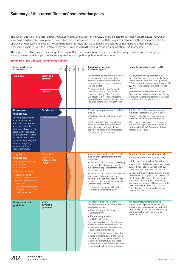### **Summary of the current Directors' remuneration policy**

The current Directors' remuneration policy was approved at the AGM on 14 May 2020 and is expected to fully apply until the 2023 AGM, when shareholders will be asked to approve a revised Directors' remuneration policy, in line with the requirement to submit the policy for shareholder approval at least every three years. The Committee is comfortable that the current Policy operated as intended and that the overall 2021 remuneration paid to Executive Directors as set out below and within the Annual report on remuneration, was appropriate.

The pages that follow present a summary of the current Directors' remuneration policy. The complete policy is available on the Company's website at www.prudentialplc.com/investors/governance-and-policies/policies-and-statements.

#### **Summary of the Directors' remuneration policy**

| <b>Current key elements</b><br>of remuneration                                                                                                                                                                                                                                              |                                          | 2021 | 2022 | 2023 | 2024 | 2025 | 2026 | Key features of operation<br>of the current policy                                                                                                                                                                                                                                                                                                                                                                                 | How we implemented the policy in 2021                                                                                                                                                                                                                                                                                                                                                                                                        |
|---------------------------------------------------------------------------------------------------------------------------------------------------------------------------------------------------------------------------------------------------------------------------------------------|------------------------------------------|------|------|------|------|------|------|------------------------------------------------------------------------------------------------------------------------------------------------------------------------------------------------------------------------------------------------------------------------------------------------------------------------------------------------------------------------------------------------------------------------------------|----------------------------------------------------------------------------------------------------------------------------------------------------------------------------------------------------------------------------------------------------------------------------------------------------------------------------------------------------------------------------------------------------------------------------------------------|
| <b>Fixed pay</b>                                                                                                                                                                                                                                                                            | Salary and<br>benefits<br><b>Pension</b> |      |      |      |      |      |      | Salaries reviewed annually with increases<br>generally aligned with those of the<br>workforce. Benefits reflect individual<br>circumstances and are competitive in<br>the local market<br>Pension contributions and/or a cash<br>supplement up to 22.5% of salary<br>(20% from 14 May 2021). Executive<br>Directors based in Hong Kong receive<br>this in addition to contributions into the<br>Hong Kong Mandatory Provident Fund | A salary freeze was implemented in 2021 for<br>Executive Directors, other than for the Group<br>Chief Financial Officer and Chief Operating<br>Officer whose salary was increased in April 2021<br>by 5% to reflect the increase in the scope of<br>the role<br>Pension contributions for the incumbent<br>Executive Directors remained at 13% of salary,<br>in line with the employer pension contribution<br>available to the UK workforce |
| Short-term<br>variable pay                                                                                                                                                                                                                                                                  | <b>Cash bonus</b>                        |      |      |      |      |      |      | The maximum opportunity is up to 200%<br>of salary                                                                                                                                                                                                                                                                                                                                                                                 | The Group Chief Executive was awarded a<br>maximum opportunity of 200% of salary                                                                                                                                                                                                                                                                                                                                                             |
| One-year performance                                                                                                                                                                                                                                                                        | <b>Deferred bonus</b>                    |      |      |      |      |      |      | 40% of bonus is deferred into shares for<br>three years                                                                                                                                                                                                                                                                                                                                                                            | Other Executive Directors were awarded a<br>maximum opportunity of 175% of salary                                                                                                                                                                                                                                                                                                                                                            |
| assessed on financial,<br>functional and personal<br>objectives, set with<br>reference to business plans<br>approved by the Board.<br>Awards are subject to the<br>achievement of a Pillar I<br>capital underpin aligned<br>with the Hong Kong<br>Insurance Authority<br>capital framework. |                                          |      |      |      |      |      |      | Award is subject to malus and clawback<br>provisions, including in circumstances<br>where there are non-financial issues<br>and personal conduct which falls short<br>of the Company's expectations                                                                                                                                                                                                                                | 2021 bonuses were paid based on financial<br>and personal objectives and, in the case of<br>the Group Chief Risk & Compliance Officer,<br>functional objectives                                                                                                                                                                                                                                                                              |
| Long-term<br>variable pay                                                                                                                                                                                                                                                                   | <b>Prudential</b><br><b>Long Term</b>    |      |      |      |      |      |      | Maximum award under the Plan is 550%<br>of salary although regular awards are                                                                                                                                                                                                                                                                                                                                                      | Awards in 2021 were below the plan limits:<br>> Group Chief Executive: 400% of salary                                                                                                                                                                                                                                                                                                                                                        |
| Three-year performance                                                                                                                                                                                                                                                                      | <b>Incentive Plan</b><br>(PLTIP)         |      |      |      |      |      |      | below this level<br>Awards are subject to a three-year vesting                                                                                                                                                                                                                                                                                                                                                                     | > Other Executive Directors: 250% of salary                                                                                                                                                                                                                                                                                                                                                                                                  |
| assessed on a<br>combination of:                                                                                                                                                                                                                                                            |                                          |      |      |      |      |      |      | period from date of grant and a further<br>two-year holding period from the end of<br>the vesting period                                                                                                                                                                                                                                                                                                                           | Weight of 2021 PLTIP measures was as follows:<br>50% TSR, 30% Return on Embedded Value<br>(RoEV) and 20% sustainability scorecard.                                                                                                                                                                                                                                                                                                           |
| > Financial measures;<br>> Total Shareholder<br>Return (TSR) relative to<br>international insurance<br>peers; and<br>> Sustainability scorecard<br>of capital, conduct and<br>diversity measures                                                                                            |                                          |      |      |      |      |      |      | Awards are subject to malus and clawback<br>provisions, including in circumstances<br>where there are non-financial issues and<br>personal conduct which falls short of the<br>Company's expectations<br>The proportion of awards which will vest<br>for threshold performance is 20%                                                                                                                                              | On vesting, the Committee will review awards<br>to ensure that participants do not benefit from<br>windfall gains. The Committee will consider<br>Prudential's stretching performance targets;<br>share price performance of Prudential and its<br>peers; the prices of the indices on which<br>Prudential is listed; and any other factors<br>deemed relevant.                                                                              |
| <b>Share ownership</b><br>quidelines                                                                                                                                                                                                                                                        | Share<br>ownership                       |      |      |      |      |      |      | Significant in-employment share<br>ownership quidelines for all Executive                                                                                                                                                                                                                                                                                                                                                          | The post-employment shareholding<br>requirement is implemented by requiring                                                                                                                                                                                                                                                                                                                                                                  |
|                                                                                                                                                                                                                                                                                             | guidelines                               |      |      |      |      |      |      | Directors as follows:<br>> 400% of salary for the Group                                                                                                                                                                                                                                                                                                                                                                            | Executive Directors retiring from the Board<br>to obtain clearance to deal in the Company's<br>shares during the two years following                                                                                                                                                                                                                                                                                                         |
|                                                                                                                                                                                                                                                                                             |                                          |      |      |      |      |      |      | Chief Executive<br>> 250% of salary for other                                                                                                                                                                                                                                                                                                                                                                                      | their retirement                                                                                                                                                                                                                                                                                                                                                                                                                             |
|                                                                                                                                                                                                                                                                                             |                                          |      |      |      |      |      |      | <b>Executive Directors</b><br>Executives have five years from the later<br>of the date of their appointment, or the<br>date of an increase in these quidelines,<br>to build this level of ownership                                                                                                                                                                                                                                |                                                                                                                                                                                                                                                                                                                                                                                                                                              |
|                                                                                                                                                                                                                                                                                             |                                          |      |      |      |      |      |      | Executive Directors leaving the Board are<br>required to hold the lower of their actual<br>shareholding at their retirement date and<br>their in-employment share ownership<br>guideline for a period of two years, subject<br>to Remuneration Committee discretion                                                                                                                                                                |                                                                                                                                                                                                                                                                                                                                                                                                                                              |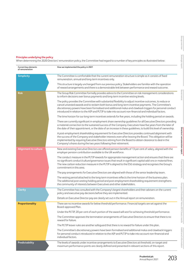## Strategic report **Strategic report**

#### **Principles underlying the policy**

When determining the 2020 Directors' remuneration policy, the Committee had regard to a number of key principles as illustrated below:

| <b>Current key elements</b><br>of remuneration | How we implemented the policy in 2021                                                                                                                                                                                                                                                                                                                                                                                                  |
|------------------------------------------------|----------------------------------------------------------------------------------------------------------------------------------------------------------------------------------------------------------------------------------------------------------------------------------------------------------------------------------------------------------------------------------------------------------------------------------------|
| <b>Simplicity</b>                              | The Committee is comfortable that the current remuneration structure is simple as it consists of fixed<br>remuneration, annual and long-term incentives only.                                                                                                                                                                                                                                                                          |
|                                                | This structure is largely unchanged from our previous policy. Stakeholders are familiar with the operation<br>of reward arrangements and there is a demonstrable link between performance and reward outcome.                                                                                                                                                                                                                          |
| <b>Risk</b>                                    | The Group Risk Committee formally provides advice to the Committee on risk management considerations<br>to inform decisions over bonus payments and long-term incentive vesting levels.                                                                                                                                                                                                                                                |
|                                                | The policy provides the Committee with substantial flexibility to adjust incentive outcomes, to reduce or<br>cancel unvested awards and to reclaim both bonus and long-term incentive payments. The Committee's<br>discretionary powers have been formalised and additional malus and clawback triggers for personal conduct<br>introduced in relation to the AIP and PLTIP to take into account non-financial and individual factors. |
|                                                | The time horizon for our long-term incentives extends for five years, including the holding period on awards.                                                                                                                                                                                                                                                                                                                          |
|                                                | There are currently significant in-employment share ownership guidelines for all Executive Directors providing<br>a material connection to the sustained success of the Company. Executives have five years from the later of<br>the date of their appointment, or the date of an increase in these guidelines, to build this level of ownership.                                                                                      |
|                                                | A post-employment shareholding requirement for Executive Directors provides continued alignment with<br>the success of the Company and stakeholder interests even after leaving the Board. This obligation will be<br>implemented by requiring Executive Directors retiring from the Board to obtain clearance to deal in the<br>Company's shares during the two years following their retirement.                                     |
| <b>Alignment to culture</b>                    | New and existing Executive Directors are offered pension benefits of 13 per cent of salary, aligned with the<br>employer pension contribution available to the UK workforce.                                                                                                                                                                                                                                                           |
|                                                | The conduct measure in the PLTIP rewards for appropriate management action and ensures that there are<br>no significant conduct/culture/governance issues that result in significant capital add-ons or material fines.<br>The new carbon reduction measure in the PLTIP is aligned to the ESG strategy and recognises the Group's<br>commitment in this area.                                                                         |
|                                                | The pay arrangements for Executive Directors are aligned with those of the senior leadership team.                                                                                                                                                                                                                                                                                                                                     |
|                                                | The vesting period attached to the long-term incentives reflects the time horizon of the business plan.<br>The additional post-vesting holding period and post-employment shareholding requirement strengthens<br>the community of interests between Executives and other stakeholders.                                                                                                                                                |
| <b>Clarity</b>                                 | The Committee has consulted with the Company's largest shareholders and their advisers on the current<br>policy and executive pay decisions before they are implemented.                                                                                                                                                                                                                                                               |
|                                                | Details on Executive Director pay are clearly set out in the Annual report on remuneration.                                                                                                                                                                                                                                                                                                                                            |
| Proportionality                                | There are no incentive awards for below threshold performance. Financial targets are set against the<br>Board-approved Plan.                                                                                                                                                                                                                                                                                                           |
|                                                | Under the PLTIP, 20 per cent of each portion of the award will vest for achieving threshold performance.                                                                                                                                                                                                                                                                                                                               |
|                                                | The Committee approves the termination arrangements of Executive Directors to ensure that there is no<br>reward for failure.                                                                                                                                                                                                                                                                                                           |
|                                                | The PLTIP leaver rules are another safeguard that there is no reward for failure under this plan.                                                                                                                                                                                                                                                                                                                                      |
|                                                | The Committee's discretionary powers have been formalised and additional malus and clawback triggers<br>for personal conduct introduced in relation to the AIP and PLTIP to take into account non-financial and<br>individual factors.                                                                                                                                                                                                 |
| Predictability                                 | The levels of awards under incentive arrangements to Executive Directors at threshold, on-target and<br>maximum performance points are clearly defined and presented in relevant sections of this report.                                                                                                                                                                                                                              |

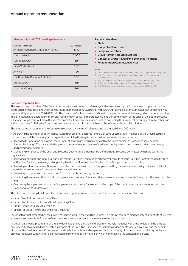#### **Membership and 2021 meeting attendance**

| <b>Committee Members</b>               | 2021 Meetings |
|----------------------------------------|---------------|
| Anthony Nightingale CMG SBS JP (Chair) | 8/10          |
| Thomas Watjen                          | 10/10         |
| Kai Nargolwala <sup>1</sup>            | 5/6           |
| Fields Wicker-Miurin <sup>2</sup>      | 9/10          |
| Amy $Yip3$                             | 4/4           |
| The Hon. Philip Remnant CBE FCA        | 9/10          |
| David Law ACA <sup>4</sup>             | 9/9           |
| Chua Sock Koong <sup>5</sup>           | 4/4           |

#### **Regular attendees**

- **> Chair**
- **> Group Chief Executive**
- **> Company Secretary**
- **> Group Human Resources Director**
- **> Director of Group Reward and Employee Relations**
- **> Remuneration Committee Adviser**

#### **Notes**

- 1 Kai Nargolwala stepped down from the Remuneration Committee on 13 May 2021.
- 2 Fields Wicker-Miurin stepped down from the Remuneration Committee on 31 December 2021.
- 3 Amy Yip stepped down from the Remuneration Committee on 3 March 2021.
- 4 David Law joined the Remuneration Committee on 4 February 2021.
- 5 Chua Sock Koong joined the Remuneration Committee on 12 May 2021.

#### **Role and responsibilities**

The role and responsibilities of the Committee are set out in its terms of reference, which are reviewed by the Committee and approved by the Board on a periodic basis, and which can be found on the Company's website at https://www.prudentialplc.com/~/media/Files/P/Prudential-V3/ content-pdf/gremco-tor-at-01-01-2022.pdf. The Committee's role is to assist the Board in meeting its responsibilities regarding the determination, implementation and operation of the overall remuneration policy for the Group, including the remuneration of the Chair of the Board, Executive Directors, Group Executive Committee members and the Company Secretary, as well as overseeing the remuneration arrangements of other staff within its purview. In 2021, the Committee met seven times and also dealt with a number of matters by email circulation.

The principal responsibilities of the Committee set out in their terms of reference and discharged during 2021 were:

- **>** Approving the operation of performance-related pay schemes operated for the Executive Directors, other members of the Group Executive Committee and the Company Secretary, and determining the targets and individual payouts under such schemes;
- **>** Reviewing the operation and awards made under all share plans requiring approval by the Board and/or the Company's shareholders. Specifically, during 2021, this included approving the remuneration section of the Demerger Agreement and all related adjustments to pay and performance schemes;
- **>** Monitoring compliance of the Chair and Executive Directors and other members of the Group Executive Committee with share ownership guidelines;
- **>** Reviewing and approving individual packages for the Executive Directors and other members of the Group Executive Committee, and the fees of the Chair. Similarly, reviewing and approving fees for the Non-executive Directors of the Group's material subsidiaries;
- **>** Reviewing workforce remuneration practices and related policies across the Group when setting the remuneration policy for Executive Directors, as well as the alignment of incentives and awards with culture;
- **>** Reviewing and approving the content and format of the UK gender pay gap report;
- > Monitoring the remuneration and risk management implications of remuneration of senior executives across the Group and other selected roles; and
- **>** Overseeing the implementation of the Group remuneration policy for roles within the scope of the specific arrangements referred to in the Hong Kong IA GWS Framework.

The Chair and the Group Chief Executive attend meetings by invitation. The Committee also had the benefit of advice from:

- **>** Group Chief Risk and Compliance Officer;
- **>** Group Chief Financial Officer and Chief Operating Officer;
- **>** Group Human Resources Director; and
- **>** Director of Group Reward and Employee Relations.

Individuals are not present when their own remuneration is discussed and the Committee is always careful to manage potential conflicts of interest when receiving views from Executive Directors or senior management about executive remuneration proposals.

As part of our broader programme of shareholder engagement, the Chair of the Committee held meetings with shareholders and the principal advisory bodies to discuss decisions taken in respect of the Executive Directors' remuneration arrangements for 2022. We have had the benefit ofsubstantive feedback from 50 per cent of our shareholder register and are pleased that the majority of shareholders and advisory bodies who provided input were supportive of our proposals and commended the manner in which we conducted the consultation process.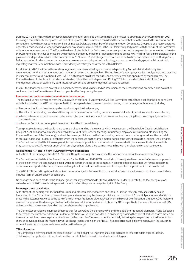During 2021, Deloitte LLP was the independent remuneration adviser to the Committee. Deloitte was re-appointed by the Committee in 2021 following a competitive tender process. As part of this process, the Committee considered the services that Deloitte provided to Prudential and its competitors, as well as other potential conflicts of interest. Deloitte is a member of the Remuneration Consultants' Group and voluntarily operates under their code of conduct when providing advice on executive remuneration in the UK. Deloitte regularly meets with the Chair of the Committee without management present. The Committee is comfortable that the Deloitte engagement partner and team providing remuneration advice to the Committee do not have connections with Prudential that may impair their independence and objectivity. The total fees paid to Deloitte for the provision of independent advice to the Committee in 2021 were £81,250 charged on a fixed fee as well as time and materials basis. During 2021, Deloitte provided Prudential management advice on remuneration, digital and technology, taxation, internal audit, global mobility, risk and regulatory matters. Remuneration advice is provided by an entirely separate team within Deloitte.

In addition, in 2021 the Committee and management commissioned a large scale research project by Aon, which included analysis of remuneration trends and structures across a number of sectors and geographies. The total cost of this project, including analysis and data provided in respect of executives below Board, was US\$117,700 charged on a fixed fee basis. Aon were selected and appointed by management. The Committee is comfortable that the advice received was objective and independent. During 2021, Aon provided other parts of the Group management advice on staff salary data, insurance services and asset management consulting services.

In 2021 the Board conducted an evaluation of its effectiveness which included an assessment of the Remuneration Committee. The evaluation confirmed that the Committee continued to operate effectively during the year.

#### **Remuneration decisions taken in relation to the demerger**

The Jackson business demerged from the Group with effect from 13 September 2021. The Committee established a set of principles, consistent with that applied on the 2019 demerger of M&G, to underpin decisions on remuneration relating to the demerger with Jackson, including:

- **>** Executives should not be advantaged or disadvantaged by the demerger;
- **>** The value of outstanding awards and their key terms (release dates, holding periods, malus and clawback provisions) should be unaffected;
- **>** Where performance conditions need to be revised, the new conditions should be no more or less stretching than those originally attached to the awards; and
- **>** Where the Committee has applied discretion, this will be disclosed clearly.

These principles formed the basis for the treatment of outstanding share awards which was set out in the Shareholder Circular published on 6 August 2021 and approved by shareholders at the August 2021 General Meeting. In summary, employees of Prudential plc (including the Executive Directors of the Company) received the demerger dividend on their outstanding deferred bonus and long-term incentive awards in the form of additional Prudential plc shares which will be released on the same timetable and on the same basis as their original share awards. The Committee decided that it was appropriate that, wherever possible, executives should be rewarded in the shares of the business which they continue to lead. For awards under UK all-employee share plans, the treatment was in line with the relevant rules and regulations.

#### **Adjusting the AIP and in-flight PLTIP performance conditions**

At the time of the demerger, the 2021 AIP financial targets were adjusted to exclude the Jackson business for the remainder of the year.

The Committee decided that the financial targets for the 2019 and 2020 PLTIP awards should be adjusted to exclude the Jackson components ofthe Plan on which the targets were based, with effect from the date of the demerger, in order to appropriately account for the period that Jackson were not part of the Group. The revised targets will be disclosed in the remuneration report for the year in which the awards vest.

The 2021 PLTIP award targets exclude Jackson performance, with the exception of the 'conduct' measure in the sustainability scorecard which includes Jackson until the point of demerger.

No changes have been made to the TSR peer groups for any outstanding PLTIP awards held by Prudential plc staff. The TSR peer group was revised ahead of 2021 awards being made in order to reflect the post-demerger footprint of the Group.

#### **Demerger share calculation**

At the time of the demerger of Jackson from Prudential plc shareholders received one share in Jackson for every forty shares they hold in Prudential plc. The Committee approved the approach to converting the demerger dividend into additional Prudential plc shares and ADRs for those with outstanding awards at the date of the demerger. Prudential plc employees who held awards over Prudential shares or ADRs therefore received the value of the demerger dividend in the form of additional Prudential plc shares or ADRs respectively. These additional shares/ADRs will vest on the same timetable and on the same basis as the original award.

The Committee considered a number of approaches for converting the demerger dividend into additional Prudential plc shares/ ADRs. It decided to determine the number of additional Prudential plc shares/ADRs to be awarded as a dividend by dividing the value of Jackson shares (based on the volume weighted average price realised through the bulk sale of Jackson shares immediately following demerger date) by the Prudential plc share price averaged over the first ten days of Jackson's regular trading on the NYSE. This approach ensured alignment between the value that our employees and our shareholders realised from the demerger.

#### **TSR calculation**

The Committee determined that the calculation of TSR for in-flight PLTIP awards should be adjusted to reflect the demerger of Jackson. Thisinvolved the application of an adjustment factor calculated in line with standard methodologies.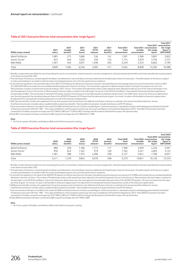#### **Table of 2021 Executive Director total remuneration (the 'single figure')**

| \$000s (unless stated)    | 2021<br>salary | 2021<br>taxable<br>benefits <sup>*</sup> | 2021<br>total<br>bonus <sup>†</sup> | 2021<br><b>PLTIP</b><br>releases $#$ | 2021<br>pension<br>benefits <sup>§</sup> | <b>Total 2021</b><br>fixed<br>remuneration <sup>1</sup> | <b>Total 2021 remuneration</b><br>variable<br>remuneration <sup>~</sup> | <b>Total 2021</b><br>the 'single<br>figure' | <b>Total 2021</b><br>remuneration<br>the 'single<br>figure' in<br>GBP (£000)# |
|---------------------------|----------------|------------------------------------------|-------------------------------------|--------------------------------------|------------------------------------------|---------------------------------------------------------|-------------------------------------------------------------------------|---------------------------------------------|-------------------------------------------------------------------------------|
| Mark FitzPatrick          | 1.085          | 275                                      | .860                                | 536                                  | 141                                      | 1.501                                                   | 2.396                                                                   | 3,897                                       | 2,832                                                                         |
| James Turner <sup>1</sup> | 943            | 646                                      | 1.629                               | 450                                  | 125                                      | 1.714                                                   | 2.079                                                                   | 3.793                                       | 2.757                                                                         |
| Mike Wells                | 1.581          | 463                                      | 3.057                               | .296                                 | 205                                      | 2.249                                                   | 4.353                                                                   | 6.602                                       | 4.799                                                                         |
| Total                     | 3.609          | .384                                     | 6.546                               | 2.282                                | 471                                      | 5.464                                                   | 8.828                                                                   | 14.292                                      | 10,388                                                                        |

Benefits include (where provided) the cost of providing the use of a car and driver, medical insurance, security arrangements, relocation/expatriate benefits and shares awarded due to participation in the Share Incentive Plan (SIP).

† The total value of the bonus, comprising both the 60 per cent delivered in cash and 40 per cent bonus deferred into Prudential plc shares for three years. The deferred part of the bonus is subject to malus and clawback in accordance with the malus and clawback policies, but no further performance conditions.

‡ In line with the regulations, the estimated value of the 2021 PLTIP releases for all Executive Directors has been calculated based on the average share price over the last three months of 2021 (£14.00/US\$19.26) and includes the accumulated dividends delivered in the form of shares. The Committee's approach to determining the level of vesting for this award is set out in the 'Remuneration in respect of performance periods ending in 2021' section. The number of Prudential plc shares under award has been adjusted to take account of the Jackson demerger in line with the approach set out in the section on 'Remuneration decisions taken in relation to the demerger'. As set out in the 2019 Annual Report, these awards have previously been adjusted on the demerger of M&G. The actual value of vesting PLTIP awards, based on the share price on the date awards are released, will be shown in the 2022 report. Due to the share price depreciation over the vesting period, the estimated value per share of the 2019 PLTIP awards is 9.1% lower than the value per share at grant. As a result, no value is attributable to share price appreciation. No adjustment to vesting levels has been proposed as a result of the share price depreciation.

§ 2021 pension benefits include cash supplements for pension purposes and contributions into defined contribution schemes as outlined in the 'pension benefit entitlement' section. ~Total fixed remuneration includes salary, taxable benefits and pension benefits. Total variable remuneration includes total bonus and PLTIP releases.

^Each remuneration element is rounded to the nearest \$1,000 and totals are the sum of these rounded figures. Total remuneration is calculated using the methodology prescribed by Schedule 8 of Statutory Instrument 2013 No. 1981 – The Large and Medium-sized Companies and Groups (Accounts and Reports) (Amendment) Regulations 2013. Total 2021 remuneration has been converted to US dollars using the exchange rate of 0.7269 for GBP and 7.7728 for HKD. Exchange rate fluctuations will therefore impact the reported value.

#Total 2021 remuneration has been converted to GBP using the exchange rate of 0.7269 USD to 1 GBP.

**Note**

1 Mr Turner is paid in HK dollars, while Messrs Wells and FitzPatrick are paid in sterling.

#### **Table of 2020 Executive Director total remuneration (the 'single figure')**

| \$000s (unless stated)    | 2020<br>salary | 2020<br>taxable<br>benefits <sup>*</sup> | 2020<br>total<br>bonus <sup>†</sup> | 2020<br><b>PLTIP</b><br>releases $†$ | 2020<br>pension<br>benefits <sup>§</sup> | Total 2020<br>fixed<br>remuneration~ | <b>Total 2020 remuneration</b><br>variable<br>remuneration <sup>~</sup> | the 'single<br>figure' | Total 2020<br><b>Total 2020 remuneration</b><br>the 'single<br>figure' in<br>GBP (£000)# |
|---------------------------|----------------|------------------------------------------|-------------------------------------|--------------------------------------|------------------------------------------|--------------------------------------|-------------------------------------------------------------------------|------------------------|------------------------------------------------------------------------------------------|
| Mark FitzPatrick          | 980            | 239                                      | 1,186                               | 1.773                                | 171                                      | 1.390                                | 2,959                                                                   | 4.349                  | 3,391                                                                                    |
| James Turner <sup>1</sup> | 950            | 643                                      | 1.322                               | 919                                  | 169                                      | 1.762                                | 2,241                                                                   | 4.003                  | 3,122                                                                                    |
| Mike Wells                | 1.481          | 388                                      | 1.355                               | 4,286                                | 258                                      | 2.127                                | 5.641                                                                   | 7.768                  | 6,057                                                                                    |
| Total                     | 3.411          | .270                                     | 3.863                               | 6.978                                | 598                                      | 5.279                                | 10.841                                                                  | 16.120                 | 12,570                                                                                   |

Benefits include (where provided) the cost of providing the use of a car and driver, medical insurance, security arrangements, relocation/expatriate benefits and shares awarded due to participation in the Share Incentive Plan (SIP).

† The total value of the bonus, comprising both the 60 per cent delivered in cash and 40 per cent bonus deferred into Prudential plc shares for three years. The deferred part of the bonus is subject to malus and clawback in accordance with the malus and clawback policies, but no further performance conditions.

‡ In line with the regulations, the value of the 2020 PLTIP releases for all Executive Directors has been calculated using the share price at vesting of £14.9984 and includes the accumulated dividends delivered in the form of shares. The number of Prudential plc shares under award have been adjusted in line with the approach set out in the section on 'Remuneration decisions taken in relation to the demerger' in the 2019 Annual Report. Due to the share price depreciation over the vesting period, the estimated value per share of the 2018 PLTIP awards is 16.5 per cent lower than the value per share at grant. As a result, no value is attributable to share price appreciation. No adjustment to vesting levels has been proposed as a result of the share price depreciation.

§ 2020 pension benefits include cash supplements for pension purposes and contributions into defined contribution schemes as outlined in the 'pension benefit entitlement' section

~Total fixed remuneration includes salary, taxable benefits and pension benefits. Total variable remuneration includes total bonus and PLTIP releases. ^Each remuneration element is rounded to the nearest \$1,000 and totals are the sum of these rounded figures. Total remuneration is calculated using the methodology prescribed by Schedule 8 of Statutory Instrument 2013 No. 1981 – The Large and Medium-sized Companies and Groups (Accounts and Reports) (Amendment) Regulations 2013. Total 2020 remuneration has been

converted to US dollars using the exchange rate of 0.7798 for GBP and 7.7560 for HKD. Exchange rate fluctuations will therefore impact the reported value.

#Total 2020 remuneration has been converted to GBP using the exchange rate of 0.7798 for GBP.

#### **Note**

1 Mr Turner is paid in HK dollars, while Messrs Wells and FitzPatrick are paid in sterling.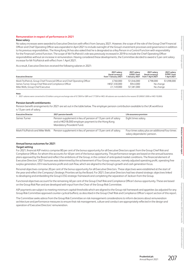#### **Remuneration in respect of performance in 2021**

#### **Base salary**

No salary increases were awarded to Executive Directors with effect from January 2021. However, the scope of the role of the Group Chief Financial Officer and Chief Operating Officer was expanded in April 2021 to include oversight of the Group's investment processes and governance in addition to his previous responsibilities. The Hong Kong IA has also asked that he is designated as a Key Person in a Control Function with responsibility for the Financial Control function. The scope of Mr FitzPatrick's role was previously increased in 2019 to include the Chief Operating Officer responsibilities without an increase in remuneration. Having considered these developments, the Committee decided to award a 5 per cent salary increase for Mr FitzPatrick with effect from 1 April 2021.

As a result, Executive Directors received the following salaries in 2021:

| <b>Executive Director</b>                                                   | 2021 salary<br>(local currency)<br>from 1 January 2021 | 2021 salary<br>$(USD)1$ from<br>1 January 2021 | 2021 salary<br>(local currency)<br>from 1 April 2021 | 2021 salary<br>$(USD)1$ from<br>1 April 2021 |
|-----------------------------------------------------------------------------|--------------------------------------------------------|------------------------------------------------|------------------------------------------------------|----------------------------------------------|
| Mark FitzPatrick, Group Chief Financial Officer and Chief Operating Officer | £760,000                                               | \$1,046,000                                    | £798.000                                             | \$1,098,000                                  |
| James Turner, Group Chief Risk and Compliance Officer                       | HK\$7.330.000                                          | \$943,000                                      | No change                                            |                                              |
| Mike Wells, Group Chief Executive                                           | £1.149.000                                             | \$1,581,000                                    | No change                                            |                                              |

#### **Note**

1 2021 salaries were converted to US dollars using an exchange rate of 0.7269 for GBP and 7.7728 for HKD. All salaries are rounded to the nearest \$1,000/£1,000 or HKD 10,000.

#### **Pension benefit entitlements**

Pension benefit arrangements for 2021 are set out in the table below. The employer pension contribution available to the UK workforce is 13 per cent of salary.

| <b>Executive Director</b>       | 2021 pension benefit                                                                                                                             | Life assurance provision                                                       |
|---------------------------------|--------------------------------------------------------------------------------------------------------------------------------------------------|--------------------------------------------------------------------------------|
| James Turner                    | Pension supplement in lieu of pension of 13 per cent of salary<br>and a HKD18,000 employer payment to the Hong Kong<br>Mandatory Provident Fund. | Eight times salary.                                                            |
| Mark FitzPatrick and Mike Wells | Pension supplement in lieu of pension of 13 per cent of salary.                                                                                  | Four times salary plus an additional four times<br>salary dependants' pension. |

#### **Annual bonus outcomes for 2021**

#### *Target setting*

For 2021, financial AIP metrics comprise 80 per cent of the bonus opportunity for all Executive Directors apart from the Group Chief Risk and Compliance Officer, for whom this accounts for 40 per cent of the bonus opportunity. The performance ranges are based on the annual business plans approved by the Board and reflect the ambitions of the Group, in the context of anticipated market conditions. The financial element of Executive Directors' 2021 bonuses was determined by the achievement of four Group measures, namely adjusted operating profit, operating free surplus generation, EEV new business profit and cash flow, which are aligned to the Group's growth and cash generation focus.

Personal objectives comprise 20 per cent of the bonus opportunity for all Executive Directors. These objectives were established at the start of the year and reflect the Company's Strategic Priorities set by the Board. For 2021, Executive Directors had two shared strategic objectives linked to developing and embedding the Group's ESG strategic framework and completing the separation of Jackson from the Group.

Functional objectives account for the remaining 40 per cent of the Group Chief Risk and Compliance Officer's bonus opportunity. These are based on the Group Risk Plan and are developed with input from the Chair of the Group Risk Committee.

AIP payments are subject to meeting minimum capital thresholds which are aligned to the Group risk framework and appetites (as adjusted for any Group Risk Committee approved counter-cyclical buffers), as described in the Group Chief Risk and Compliance Officer's report section of this report.

The Committee seeks advice from the Group Risk Committee on risk management considerations to inform decisions about remuneration architecture and performance measures to ensure that risk management, culture and conduct are appropriately reflected in the design and operation of Executive Directors' remuneration.

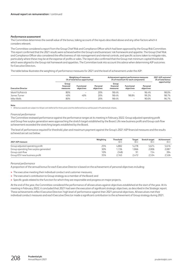#### *Performance assessment*

The Committee determines the overall value of the bonus, taking account of the inputs described above and any other factors which it considers relevant.

The Committee considered a report from the Group Chief Risk and Compliance Officer which had been approved by the Group Risk Committee. Thisreport confirmed that the 2021 results were achieved within the Group's and businesses' risk framework and appetite. The Group Chief Risk and Compliance Officer also considered the effectiveness of risk management and internal controls, and specific actions taken to mitigate risks, particularly where these may be at the expense of profits or sales. The report also confirmed that the Group met minimum capital thresholds which were aligned to the Group risk framework and appetites. The Committee took into account this advice when determining AIP outcomes for Executive Directors.

The table below illustrates the weighting of performance measures for 2021 and the level of achievement under the AIP:

| <b>Executive Director</b>  |                                | <b>Weighting of measures</b><br>(% of total bonus opportunity) |                        | Achievement against performance measures<br>(% of maximum for each component) | 2021 AIP outcome <sup>1</sup><br>(% of total bonus |                        |                |
|----------------------------|--------------------------------|----------------------------------------------------------------|------------------------|-------------------------------------------------------------------------------|----------------------------------------------------|------------------------|----------------|
|                            | Group<br>financial<br>measures | <b>Functional</b><br>objectives                                | Personal<br>objectives | Group<br>financial<br>measures                                                | <b>Functional</b><br>objectives                    | Personal<br>objectives | opportunity)   |
| Mark FitzPatrick           | 80%                            |                                                                | 20%                    | 98.4%                                                                         | -                                                  | 96.4%                  | 98.0%          |
| James Turner<br>Mike Wells | 40%<br>80%                     | 40%                                                            | 20%<br>20%             | 98.4%<br>98.4%                                                                | 98.8%<br>$\overline{\phantom{0}}$                  | 99.2%<br>90.0%         | 98.7%<br>96.7% |

#### **Note**

1 All bonus awards are subject to 40 per cent deferral for three years and the deferred bonus will be paid in Prudential plc shares.

#### *Financial performance*

The Committee reviewed performance against the performance ranges at its meeting in February 2022. Group adjusted operating profit and Group free surplus generation were approaching the stretch target established by the Board. Life new business profit and Group cash flow achievement exceeded the stretching targets established by the Board.

The level of performance required for threshold, plan and maximum payment against the Group's 2021 AIP financial measures and the results achieved are set out below:

| 2021 AIP measure                       | Weighting | Threshold<br>\$m\$ | Taraet<br>(Sm) | <b>Stretch taraet</b><br>(Sm) | Achievement<br>$(\mathsf{Sm})$ |
|----------------------------------------|-----------|--------------------|----------------|-------------------------------|--------------------------------|
| Group adjusted operating profit        | 25%       | 4.882              | 5.278          | 5.674                         | 5.616                          |
| Group operating free surplus generated | 30%       | .726               | 1.866          | 2.006                         | 2.087                          |
| Group cash flow                        | 10%       | (348)              | g,             | 154                           | 394                            |
| Group EEV new business profit          | 35%       | 2.163              | 2.472          | 2.534                         | 2,526                          |

#### *Personal performance*

A proportion of the annual bonus for each Executive Director is based on the achievement of personal objectives including:

- **>** The executive meeting their individual conduct and customer measures;
- **>** The executive's contribution to Group strategy as a member of the Board; and
- **>** Specific goals related to the function for which they are responsible and progress on major projects.

At the end of the year, the Committee considered the performance of all executives against objectives established at the start of the year. At its meeting in February 2022, it concluded that 2021 had seen the execution of significant strategic objectives, as described in the Strategic report. These achievements reflect Executive Directors' high level of performance against their 2021 personal objectives. All executives met their individual conduct measures and each Executive Director made a significant contribution to the achievement of Group strategy during 2021.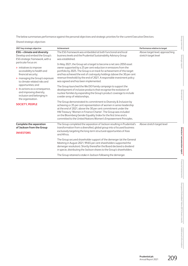The below summarises performance against the personal objectives and strategic priorities for the current Executive Directors:

*Shared strategic objectives*

| 2021 key strategic objective                                                                                                                                                                                                       | Achievement                                                                                                                                                                                                                                                                                                                                                                                                                                                                     | Performance relative to target                          |
|------------------------------------------------------------------------------------------------------------------------------------------------------------------------------------------------------------------------------------|---------------------------------------------------------------------------------------------------------------------------------------------------------------------------------------------------------------------------------------------------------------------------------------------------------------------------------------------------------------------------------------------------------------------------------------------------------------------------------|---------------------------------------------------------|
| <b>ESG</b> - climate and diversity<br>Develop and embed the Group's<br>ESG strategic framework, with a                                                                                                                             | The ESG framework was embedded at both functional and local<br>business levels and the Prudential Sustainability Advisory Group<br>was established.                                                                                                                                                                                                                                                                                                                             | Above target level, approaching<br>stretch target level |
| particular focus on:<br>> initiatives to improve<br>accessibility to health and<br>financial security;<br>> managing the Group's exposure<br>to climate-related risks and<br>opportunities; and<br>> its actions as a consequence, | In May 2021, the Group set a target to become a net zero 2050 asset<br>owner supported by a 25 per cent reduction in emissions from the<br>portfolio by 2025. The Group is on track for achievement of this target<br>and has achieved the exit of coal equity holdings (above the 30 per cent<br>revenue threshold) by the end of 2021. A responsible investment policy<br>was agreed and has been implemented.<br>The Group launched the We DO Family campaign to support the |                                                         |
| and improving diversity,<br>inclusion and belonging in<br>the organisation.                                                                                                                                                        | development of inclusive products that recognise the evolution of<br>nuclear families by expanding the Group's product coverage to include<br>a wider array of relationships.                                                                                                                                                                                                                                                                                                   |                                                         |
| <b>SOCIETY, PEOPLE</b>                                                                                                                                                                                                             | The Group demonstrated its commitment to Diversity & Inclusion by<br>achieving a c35 per cent representation of women in senior leadership<br>at the end of 2021, above the 30 per cent commitment under the<br>HM Treasury 'Women in Finance Charter'. The Group was included<br>on the Bloomberg Gender Equality Index for the first time and is<br>committed to the United Nations Women's Empowerment Principles.                                                           |                                                         |
| <b>Complete the separation</b><br>of Jackson from the Group                                                                                                                                                                        | The Group completed the separation of Jackson resulting in Prudential's<br>transformation from a diversified, global group into a focused business                                                                                                                                                                                                                                                                                                                              | Above stretch target level                              |
| <b>INVESTORS</b>                                                                                                                                                                                                                   | exclusively targeting the long-term structural opportunities of Asia<br>and Africa.                                                                                                                                                                                                                                                                                                                                                                                             |                                                         |
|                                                                                                                                                                                                                                    | The Group secured shareholder support of the demerger (at the General<br>Meeting in August 2021, 99.65 per cent shareholders supported the<br>demerger resolution). Shortly thereafter the Board declared a dividend<br>in specie, distributing the Jackson shares to the Group's shareholders.                                                                                                                                                                                 |                                                         |
|                                                                                                                                                                                                                                    | The Group retained a stake in Jackson following the demerger.                                                                                                                                                                                                                                                                                                                                                                                                                   |                                                         |

**Group overview**

Group overview

**Strategic report**

Strategic report

**Governance**

Governance

**[Directors' remuneration report](#page-0-0)**

Directors' remuneration report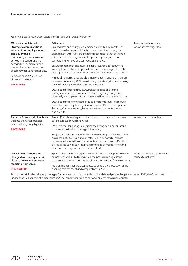#### *Mark FitzPatrick, Group Chief Financial Officer and Chief Operating Officer*

| 2021 key strategic deliverables                                                                                                                                                                                                                            | Achievement                                                                                                                                                                                                                                                                                                                                                                                                                                                                                                                                     | Performance relative to target                          |
|------------------------------------------------------------------------------------------------------------------------------------------------------------------------------------------------------------------------------------------------------------|-------------------------------------------------------------------------------------------------------------------------------------------------------------------------------------------------------------------------------------------------------------------------------------------------------------------------------------------------------------------------------------------------------------------------------------------------------------------------------------------------------------------------------------------------|---------------------------------------------------------|
| <b>Strategic communications</b><br>with debt and equity markets<br>and Equity raise<br>Lead strategic communications<br>between Prudential and the<br>debt and equity markets, and<br>specifically deliver the required<br>debt repayment and refinancing. | Ensured debt and equity plan remained supported by investors as<br>the Jackson demerger and Equity raise evolved, through regular<br>engagement with investors and ratings agencies so that both share<br>prices and credit ratings were not impacted by equity raise and<br>temporarily high leverage post Jackson demerger.<br>Ensured that market disclosures on debt issuance and repayment<br>were updated at the appropriate times and the lead regulator HKIA<br>was supportive of the debt transactions and their capital implications. | Above stretch target level                              |
| Seek to raise US\$2.5-3 billion<br>of new equity capital.<br><b>INVESTORS</b>                                                                                                                                                                              | Raised c\$1 billion and repaid c\$3 billion of debt (including \$1.7 billion<br>redeemed in January 2022), maximising opportunity for deleveraging,<br>debt refinancing and reduction in interest costs.                                                                                                                                                                                                                                                                                                                                        |                                                         |
|                                                                                                                                                                                                                                                            | Developed and refined structure, transaction size and timing<br>throughout 2021, to ensure a successful Hong Kong Equity raise,<br>ultimately leading to significant increase in Hong Kong share liquidity.                                                                                                                                                                                                                                                                                                                                     |                                                         |
|                                                                                                                                                                                                                                                            | Developed and communicated the equity story to investors through<br>Capital Markets Day, leading Finance, Investor Relations, Corporate<br>Strategy, Communications, Legal and external parties to deliver<br>and execute.                                                                                                                                                                                                                                                                                                                      |                                                         |
| Increase Asia shareholder base<br>Increase the Asia shareholder                                                                                                                                                                                            | Raised \$2.4 billion of equity in Hong Kong to optimise balance sheet<br>to reflect focus on Asia and Africa.                                                                                                                                                                                                                                                                                                                                                                                                                                   | Above stretch target level                              |
| base and Hong Kong liquidity.<br><b>INVESTORS</b>                                                                                                                                                                                                          | Delivered the Hong Kong Equity raise marketing, securing milestone<br>orders and ran the Hong Kong public offering.                                                                                                                                                                                                                                                                                                                                                                                                                             |                                                         |
|                                                                                                                                                                                                                                                            | Supported further roll out of Asia research coverage. Directly managed<br>Asia based IR effort, tailoring Investor Relation efforts to increase<br>access to Asia-based investors via conferences and Investor Relation<br>activities, including site visits. Drove continued domestic Hong Kong<br>stock commentary and public relations efforts.                                                                                                                                                                                              |                                                         |
| <b>Deliver IFRS 17 reporting</b><br>changes to ensure systems in<br>place to deliver comparative                                                                                                                                                           | Sponsored the IFRS17 programme and chaired the Group-wide steering<br>committee for IFRS 17. During 2021, the Group made significant<br>progress with the build and testing of new actuarial and finance systems.                                                                                                                                                                                                                                                                                                                               | Above target level, approaching<br>stretch target level |
| reporting from 2022.<br><b>REGULATORS</b>                                                                                                                                                                                                                  | Programme activities were completed to enable the production of the<br>opening balance sheet and comparatives in 2022.                                                                                                                                                                                                                                                                                                                                                                                                                          |                                                         |

judged that 19.3 per cent of a maximum of 20 per cent attributable to personal objectives was appropriate.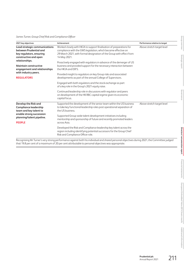#### *James Turner, Group Chief Risk and Compliance Officer*

| 2021 key objectives                                                                                          | Achievement                                                                                                                                                                                                                    | Performance relative to target |
|--------------------------------------------------------------------------------------------------------------|--------------------------------------------------------------------------------------------------------------------------------------------------------------------------------------------------------------------------------|--------------------------------|
| Lead strategic communications<br>between Prudential and<br>key regulators, ensuring<br>constructive and open | Worked closely with HKIA to support finalisation of preparations for<br>compliance with the GWS legislation, which became effective on<br>29 March 2021, with formal designation of the Group with effect from<br>14 May 2021. | Above stretch target level     |
| relationships.<br><b>Maintain constructive</b><br>engagement and relationships                               | Proactively engaged with regulators in advance of the demerger of US<br>business and provided support for the necessary interaction between<br>the HKIA and DIFS.                                                              |                                |
| with industry peers.<br><b>REGULATORS</b>                                                                    | Provided insight to regulators on key Group risks and associated<br>developments as part of the annual College of Supervisors.                                                                                                 |                                |
|                                                                                                              | Engaged with both regulators and the stock exchange as part<br>of a key role in the Group's 2021 equity raise.                                                                                                                 |                                |
|                                                                                                              | Continued leadership role in discussions with regulator and peers<br>on development of the HK RBC capital regime given its economic<br>capital focus.                                                                          |                                |
| Develop the Risk and<br><b>Compliance leadership</b><br>team and key talent to                               | Supported the development of the senior team within the US business<br>to take key functional leadership roles post operational separation of<br>the US business.                                                              | Above stretch target level     |
| enable strong succession<br>planning/talent pipeline.                                                        | Supported Group-wide talent development initiatives including<br>mentorship and sponsorship of future and recently promoted leaders                                                                                            |                                |
| <b>PEOPLE</b>                                                                                                | across Asia.                                                                                                                                                                                                                   |                                |
|                                                                                                              | Developed the Risk and Compliance leadership key talent across the<br>region including identifying potential successors for the Group Chief<br>Risk and Compliance Officer role.                                               |                                |

that 19.8 per cent of a maximum of 20 per cent attributable to personal objectives was appropriate.

**Group overview**

Group overview

**Strategic report**

Strategic report

**Governance**

Governance

**[Directors' remuneration report](#page-0-0)**

Directors' remuneration report

**Financial statements**

Financial statements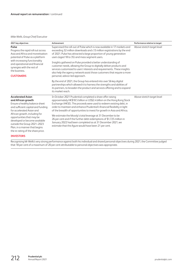#### *Mike Wells, Group Chief Executive*

| 2021 key objectives                                                                                                                                                                                                                                                                                                                                     | Achievement                                                                                                                                                                                                                                                                                                                                                                                                                                                                                                                                                                                                                            | Performance relative to target |
|---------------------------------------------------------------------------------------------------------------------------------------------------------------------------------------------------------------------------------------------------------------------------------------------------------------------------------------------------------|----------------------------------------------------------------------------------------------------------------------------------------------------------------------------------------------------------------------------------------------------------------------------------------------------------------------------------------------------------------------------------------------------------------------------------------------------------------------------------------------------------------------------------------------------------------------------------------------------------------------------------------|--------------------------------|
| Pulse<br>Progress the rapid roll out across<br>Asia and Africa and monetisation<br>potential of Pulse as a platform<br>with increasing functionality<br>and operational and financial<br>synergies with the rest of<br>the business.<br><b>CUSTOMERS</b>                                                                                                | Supervised the roll-out of Pulse which is now available in 17 markets and<br>exceeding 32 million downloads and c13 million registrations by the end<br>of 2021. Pulse has attracted a large proportion of young generation<br>users (aged 18 to 35) and mass segment users.<br>Insights gathered on Pulse provided a better understanding of<br>customer needs, allowing the Group to digitally deliver products and<br>services customized to users' interests and requirements. These insights<br>also help the agency network assist those customers that require a more<br>personal, advice-led approach.                         | Above stretch target level     |
|                                                                                                                                                                                                                                                                                                                                                         | By the end of 2021, the Group has entered into over 56 key digital<br>partnerships which allowed it to harness the strengths and abilities of<br>its partners, to broaden the product and services offering and to expand<br>its market reach.                                                                                                                                                                                                                                                                                                                                                                                         |                                |
| <b>Accelerated Asian</b><br>and African growth<br>Ensure a healthy balance sheet<br>and sufficient capital and funding<br>for accelerated Asian and<br>African growth, including for<br>opportunities that may be<br>developed or become available<br>outside the Group 2021-2023<br>Plan, in a manner that begins<br>the re-rating of the share price. | In October 2021 Prudential completed a share offer raising<br>approximately HK\$18.5 billion or US\$2.4 billion on the Hong Kong Stock<br>Exchange (HKSE). The proceeds were used to redeem existing debt, in<br>order to maintain and enhance Prudential's financial flexibility in light<br>of the breadth of opportunities to invest for growth in Asia and Africa.<br>We estimate the Moody's total leverage at 31 December to be<br>26 per cent and if the further debt redemptions of \$1,725 million in<br>January 2022 had been completed as at 31 December 2021, we<br>estimate that this figure would have been 21 per cent. | Above stretch target level     |

#### **INVESTORS**

Recognising Mr Wells's very strong performance against both his individual and shared personal objectives during 2021, the Committee judged that 18 per cent of a maximum of 20 per cent attributable to personal objectives was appropriate.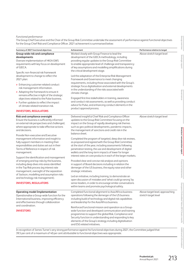#### *Functional performance*

The Group Chief Executive and the Chair of the Group Risk Committee undertake the assessment of performance against functional objectives for the Group Chief Risk and Compliance Officer. 2021 achievement is summarised below:

| Summary of 2021 functional objectives                                                                                                                                                                                                                                       | Achievement                                                                                                                                                                                                                                                                                                                                                           | Performance relative to target                          |
|-----------------------------------------------------------------------------------------------------------------------------------------------------------------------------------------------------------------------------------------------------------------------------|-----------------------------------------------------------------------------------------------------------------------------------------------------------------------------------------------------------------------------------------------------------------------------------------------------------------------------------------------------------------------|---------------------------------------------------------|
| Group-wide risk and compliance<br>developments<br>Oversee implementation of HKIA GWS<br>requirements with key focus on development<br>of GIECA.                                                                                                                             | Worked closely with Group Finance to lead the<br>development of the GIECA methodology, including<br>providing regular updates to the Group Risk Committee<br>to enable appropriate level of challenge and transparency<br>of key assumptions and modelling simplifications during<br>the critical development stage.                                                  | Above stretch target level                              |
| Specific non-financial risk framework<br>development to change to reflect the<br>2021 plan:<br>> Enhancing customer-related conduct<br>risk management information.<br>> Adapting the framework to ensure it<br>remains effective in light of the strategic                 | Led the adaptation of the Enterprise Risk Management<br>Framework and Governance to meet changing<br>requirements, including those associated with the Group's<br>strategic focus digitalisation and external developments<br>in the understanding of the risks associated with<br>climate change.                                                                    |                                                         |
| objectives related to the Pulse business.<br>> Further updates to reflect the impact<br>of climate related transition risk.<br><b>INVESTORS, REGULATORS</b>                                                                                                                 | Engaged first-line stakeholders in training, awareness<br>and conduct risk assessments, as well as providing conduct<br>advice for Pulse, and enhancing conduct elements in the<br>product approval process.                                                                                                                                                          |                                                         |
| Risk and compliance oversight<br>Ensure the business is sufficiently informed<br>on external risk perspectives and challenged,<br>where appropriate to take effective actions<br>and decisions.<br>Provide Non-executive and Executive                                      | Delivered insightful Chief Risk and Compliance Officer<br>updates to the Group Risk Committee focusing on the<br>impact on the Group of rapidly developing risk themes<br>such as geo-political developments, pandemic impacts,<br>the management of sanctions and credit risk in the<br>balance sheet.                                                               | Above stretch target level                              |
| management information and insight to<br>fully support members in meeting their<br>responsibilities and duties set out in their<br>Terms of Reference in respect of risk<br>management.                                                                                     | Completed the program of targeted, deep dive risk reviews,<br>as proposed and agreed with the Group Risk Committee<br>at the start of the year, including assessments following<br>penetration testing, the use and development of digital<br>wallets and the long-term impacts of lower for longer<br>interest rates on core products in each of the larger markets. |                                                         |
| Support the identification and management<br>of emerging and top risks by the business,<br>including deep dives into areas identified<br>in the Top Risk process (eg interest rate<br>management, oversight of the separation<br>of Jackson, modelling and assumption risks | Provided clear and concise risk analysis and opinions<br>in support of Board decisions including in relation the<br>demerger of the US business, the equity raise and other<br>strategic initiatives.                                                                                                                                                                 |                                                         |
| and technology risk management).<br><b>INVESTORS, REGULATORS</b>                                                                                                                                                                                                            | Led an initiative, including training, to demonstrate an<br>open discussion of mistakes and 'what could go wrong' by<br>senior leaders, in order to encourage similar conversations<br>within teams and promote psychological safety.                                                                                                                                 |                                                         |
| <b>Operating model Implementation</b><br>Operationalise a Group-wide function for the<br>International business, improving efficiency<br>and effectiveness through collaboration                                                                                            | Completed functional alignment to Asia/Africa business<br>operations following the demerger of the US business<br>including build of technology and digital risk capabilities<br>and leadership for the Asia/Africa business.                                                                                                                                         | Above target level, approaching<br>stretch target level |
| and coordination.<br><b>INVESTORS</b>                                                                                                                                                                                                                                       | Reinforced functional mission and operation as a Group-<br>wide function and developed communication and training<br>programmes to support the global Risk, Compliance and<br>Security function in understanding and responding to key<br>elements of the Group's strategy including digitalisation<br>and ESG related initiatives.                                   |                                                         |

In recognition of James Turner's very strong performance against his functional objectives during 2021, the Committee judged that 39.5 per cent of a maximum of 40 per cent attributable to functional objectives was appropriate.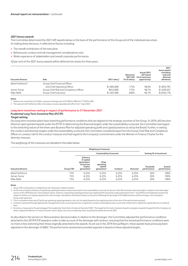#### *2021 bonus awards*

The Committee determined the 2021 AIP awards below on the basis of the performance of the Group and of the individual executives. In making these decisions, it reflected on factors including:

- **>** The overall contribution of the executive;
- **>** Behavioural, conduct and risk management considerations; and
- **>** Wider experience of stakeholders and overall corporate performance.

40 per cent of the 2021 bonus awards will be deferred into shares for three years.

| <b>Executive Director</b>     | Role                                    | $2021$ salary <sup>1</sup> | Maximum<br>2021 AIP<br>(% of salary) | Actual 2021<br>AIP award<br>(% of maximum<br>opportunity) | 2021<br>bonus award<br>(including<br>cash and<br>deferred<br>elements) |
|-------------------------------|-----------------------------------------|----------------------------|--------------------------------------|-----------------------------------------------------------|------------------------------------------------------------------------|
| Mark FitzPatrick <sup>2</sup> | Group Chief Financial Officer           |                            |                                      |                                                           |                                                                        |
|                               | and Chief Operating Officer             | \$1,085,000                | 175%                                 | 98.0%                                                     | \$1.859.795                                                            |
| James Turner                  | Group Chief Risk and Compliance Officer | \$943,000                  | 175%                                 | 98.7%                                                     | \$1,628,507                                                            |
| Mike Wells                    | Group Chief Executive                   | \$1.581.000                | 200%                                 | 96.7%                                                     | \$3,056,778                                                            |

#### **Notes**

Salaries are converted to US dollars using an exchange rate of 0.7269 for GBP and 7.7728 for HKD.

2 The salary for Mr FitzPatrick reflects the salary increase awarded with effect from 1 April 2021.

#### **Long-term incentives vesting in respect of performance to 31 December 2021 Prudential Long Term Incentive Plan (PLTIP)**

#### *Target setting*

Our long-term incentive plans have stretching performance conditions that are aligned to the strategic priorities of the Group. In 2019, all Executive Directors were granted awards under the PLTIP. In determining the financial targets under the sustainability scorecard, the Committee had regard to the stretching nature of the three-year Business Plan for adjusted operating profit and capital positions as set by the Board. Further, in setting the conduct and diversity targets under the sustainability scorecard, the Committee considered input from the Group Chief Risk and Compliance Officer on conduct risk for the conduct measure and had regard to the Company's commitment under the Women in Finance Charter for the diversity measure.

The weightings of the measures are detailed in the table below:

|                           |                        | <b>Weighting of measures</b>                                                                 |                                                            |                      |                        |                          |                        |
|---------------------------|------------------------|----------------------------------------------------------------------------------------------|------------------------------------------------------------|----------------------|------------------------|--------------------------|------------------------|
|                           |                        | <b>Sustainability Scorecard</b>                                                              |                                                            |                      |                        |                          | Vesting (% of maximum) |
| <b>Executive Director</b> | Group TSR <sup>1</sup> | Solvency<br>II capital<br>qeneration/<br>Group free<br>surplus<br>$q$ eneration <sup>2</sup> | ECap<br>operating<br>capital<br>$q$ eneration <sup>3</sup> | Conduct <sup>4</sup> | Diversity <sup>5</sup> | Threshold<br>performance | Stretch<br>performance |
| Mark FitzPatrick          | 75%                    | 6.25%                                                                                        | 6.25%                                                      | 6.25%                | 6.25%                  | 20%                      | 100%                   |
| James Turner              | 75%                    | 6.25%                                                                                        | 6.25%                                                      | 6.25%                | 6.25%                  | 20%                      | 100%                   |
| Mike Wells                | 75%                    | 6.25%                                                                                        | 6.25%                                                      | 6.25%                | 6.25%                  | 20%                      | 100%                   |

#### **Notes**

1 Group TSR is measured on a ranked basis over three years relative to peers.

2 At the time of award a Solvency II operating capital generation measure was used in the sustainability scorecard. As set out in the 'Remuneration decisions taken in relation to the demerger' section of the 2019 Directors' remuneration report, Solvency II operating capital generation was replaced with Group free surplus generation from 1 July 2019 since Prudential ceased to be subject to Solvency II capital requirements and no longer calculated or disclosed a Solvency II position following the demerger of the M&G business and the change in the Company's Group-wide supervisor.

3 This is cumulative three-year ECap Group operating capital generation, less cost of capital (based on the capital position at the start of the performance period).

4 Conduct is assessed through appropriate management action, ensuring there are no significant conduct/culture/governance issues that could result in significant capital add-ons or material fines.

5 Diversity is measured as the percentage of the Leadership Team that is female at the end of 2021. The target for this metric has been based on progress towards the goal that the Company set when it signed the Women in Finance Charter, where 30 per cent of our Leadership Team should be female by the end of 2021.

As described in the section on 'Remuneration decisions taken in relation to the demerger', the Committee adjusted the performance conditions attached to the 2019 PLTIP awards in order to take account of the demerger with Jackson, ensuring that the revised performance conditions were no more or less stretching than those originally attached to the awards. As set out in the 2019 Annual Report, these awards have previously been adjusted on the demerger of M&G. The performance assessment provided opposite is based on these adjusted targets.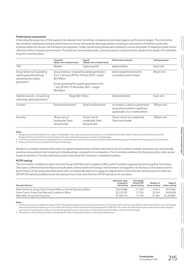#### *Performance assessment*

In deciding the proportion of the awards to be released, the Committee considered actual results against performance targets. The Committee also reviewed underlying Company performance to ensure vesting levels were appropriate, including an assessment of whether results were achieved within the Group's risk framework and appetite. Finally, overall vesting levels were reviewed to ensure that levels of reward provided remain reflective of the Company's performance. The Directors' remuneration policy summary section contains further details of the design of Prudential's long-term incentive plans.

|                                                                                   | <b>Threshold</b><br>(20 per cent of award vests)                                                                 | <b>Stretch</b><br>(100 per cent of award vests)   | Performance achieved                                                                                          | Vesting outcome |
|-----------------------------------------------------------------------------------|------------------------------------------------------------------------------------------------------------------|---------------------------------------------------|---------------------------------------------------------------------------------------------------------------|-----------------|
| TSR <sup>1</sup>                                                                  | Median                                                                                                           | Upper quartile                                    | below median                                                                                                  | 0 per cent      |
| Group Solvency II operating<br>capital generation/Group<br>operating free surplus | Group Solvency II operating capital generation<br>from 1 January 2019 to 30 June 2019 – target<br>\$2.0 billion. |                                                   | above target but below the<br>cumulative stretch target                                                       | 83 per cent     |
| generation <sup>3</sup>                                                           | Group operating free surplus generation from<br>1 July 2019 to 31 December 2021 - target<br>\$9.6 billion        |                                                   |                                                                                                               |                 |
| Capital measure - Group ECap<br>operating capital generation <sup>3</sup>         | Target \$6.1 billion                                                                                             |                                                   | below threshold                                                                                               | 0 per cent      |
| Conduct                                                                           | Partial achievement<br>Stretch achievement                                                                       |                                                   | no conduct, culture or governance<br>issues that resulted in significant<br>capital add-ons or material fines | 100 per cent    |
| Diversity <sup>2</sup>                                                            | 28 per cent of<br>Leadership Team<br>being female                                                                | 32 per cent of<br>Leadership Team<br>being female | 35 per cent of our Leadership<br>Team was female                                                              | 100 per cent    |

**Notes**

Peer group for the 2019 awards is AIA, Aegon, AXA Equitable, China Taiping Insurance, Great Eastern, Lincoln National, Manulife, MetLife, Ping An Insurance, Principal Financial, Prudential Financial, Sun Life Financial. No adjustments were made to the peer group in respect of the demerger.

2 In 2019 the Leadership Team was subdivided into the Leadership Team and the Executive Council. Both of these leadership groups are considered for the purposes of this assessment.<br>3 Iackson performance was excluded from t

Jackson performance was excluded from the point of demeraer.

Details of cumulative achievement under the capital measures have not been disclosed as the Committee considers that these are commercially sensitive and would put the Company at a disadvantage compared to its competitors. The Committee will keep this disclosure policy under review based on whether, in its view, disclosure would compromise the Company's competitive position.

#### *PLTIP vesting*

The Committee considered a report from the Group Chief Risk and Compliance Officer which had been approved by the Group Risk Committee. Thisreport confirmed that the financial results were achieved within the Group's risk framework and appetite. On the basis of this report and the performance of the Group described above, the Committee decided not to apply any adjustment to the arithmetic vesting outcome under the 2019 PLTIP awards and determined the vesting of each Executive Director's PLTIP awards as set out below:

| <b>Executive Director</b>                                                   | Maximum value<br>of award at<br>full vesting <sup>1</sup> | Percentage<br>of the PLTIP<br>award vesting | Number of<br>shares vesting <sup>2</sup> | Value of<br>shares vesting <sup>1</sup> |
|-----------------------------------------------------------------------------|-----------------------------------------------------------|---------------------------------------------|------------------------------------------|-----------------------------------------|
| Mark FitzPatrick, Group Chief Financial Officer and Chief Operating Officer | \$3,018,080                                               | 17.75%                                      | 27.814                                   | \$535.694                               |
| James Turner, Group Chief Risk and Compliance Officer                       | \$2,533,597                                               | 17.75%                                      | 23.349                                   | \$449.699                               |
| Mike Wells, Group Chief Executive                                           | \$7.300.743                                               | 17.75%                                      | 67.284                                   | \$1,295,881                             |

#### **Notes**

1 The share price used to calculate the value of the PLTIP awards with performance periods which ended on 31 December 2021 and vest in April 2022 for all Executive Directors, was the average share price for the three months up to 31 December 2021, being £14.00 converted at the exchange rate of 0.7269 USD. The number of Prudential plc shares under award has been adjusted to account for the demerger of Jackson in line with the approach set out in the section on 'Remuneration decisions taken in relation to the demerger'.

2 The number of shares vesting includes accrued dividends. Shares vesting will be subject to a two-year holding period.

**Strategic report**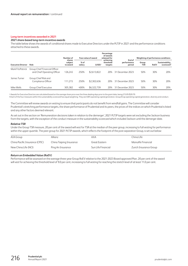#### **Long-term incentives awarded in 2021**

#### **2021 share-based long-term incentive awards**

The table below shows the awards of conditional shares made to Executive Directors under the PLTIP in 2021 and the performance conditions attached to these awards.

|                           |                                                              | Number of                     |                | Face value of award | Percentage<br>of awards<br>released for |                                 |                     |             | Weighting of performance conditions      |
|---------------------------|--------------------------------------------------------------|-------------------------------|----------------|---------------------|-----------------------------------------|---------------------------------|---------------------|-------------|------------------------------------------|
| <b>Executive Director</b> | Role                                                         | shares<br>subject<br>to award | % of<br>salary | $(USD)^+$           | achievina<br>threshold<br>targets       | End of<br>performance<br>period | Group<br><b>TSR</b> | <b>RoEV</b> | Sustainability<br>scorecard <sup>s</sup> |
| Mark FitzPatrick          | Group Chief Financial Officer<br>and Chief Operating Officer | 126.245                       | 250%           | \$2.613.822         | 20%                                     | 31 December 2023                | 50%                 | 30%         | 20%                                      |
| James Turner              | Group Chief Risk and<br>Compliance Officer                   | 111.215                       | 250%           | \$2.302.636         | 20%                                     | 31 December 2023                | 50%                 | 30%         | 20%                                      |
| Mike Wells                | Group Chief Executive                                        | 305.382                       | 400%           | \$6.322.739         | 20%                                     | 31 December 2023                | 50%                 | 30%         | 20%                                      |

†Awards for Executive Directors are calculated based on the average share price over the three dealing days prior to the grant date, being £15.05/\$20.70.

§ Each of the four measures within the sustainability scorecard has equal weighting. They are GWS operating capital generation, Group ECap operating capital generation, diversity and conduct.

The Committee will review awards on vesting to ensure that participants do not benefit from windfall gains. The Committee will consider Prudential's stretching performance targets, the share performance of Prudential and its peers, the prices of the indices on which Prudential is listed and any other factors deemed relevant.

As set out in the section on 'Remuneration decisions taken in relation to the demerger', 2021 PLTIP targets were set excluding the Jackson business from the targets, with the exception of the conduct measure in the sustainability scorecard which included Jackson until the demerger date.

#### *Relative TSR*

Under the Group TSR measure, 20 per cent of the award will vest for TSR at the median of the peer group, increasing to full vesting for performance within the upper quartile. The peer group for 2021 PLTIP awards, which reflects the footprint of the post-separation Group, is set out below:

| AIA Group                      | Allianz                 | AXA                | China Life             |
|--------------------------------|-------------------------|--------------------|------------------------|
| China Pacific Insurance (CPIC) | China Taiping Insurance | Great Eastern      | Manulife Financial     |
| New China Life (NCI)           | Ping An Insurance       | Sun Life Financial | Zurich Insurance Group |

#### *Return on Embedded Value (RoEV)*

Performance will be assessed on the average three-year Group RoEV relative to the 2021-2023 Board approved Plan. 20 per cent of the award will vest for achieving the threshold level of 9.0 per cent, increasing to full vesting for reaching the stretch level of at least 11.0 per cent.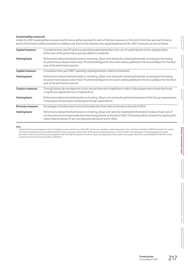#### *Sustainability scorecard*

Under the 2021 sustainability scorecard, performance will be assessed for each of the four measures, at the end of the three-year performance period. Performance will be assessed on a sliding scale. Each of the measures has equal weighting and the 2021 measures are set out below:

| Capital measure:          | Cumulative three-year ECap Group operating capital generation, less cost of capital (based on the capital position<br>at the start of the performance period) relative to threshold.                                                                                                                                              |
|---------------------------|-----------------------------------------------------------------------------------------------------------------------------------------------------------------------------------------------------------------------------------------------------------------------------------------------------------------------------------|
| <b>Vesting basis:</b>     | Performance below threshold results in nil vesting, 20 per cent vesting for achieving threshold, increasing to full vesting<br>for performance above stretch level. The threshold figure for this metric will be published in the Annual Report for the final<br>year of the performance period.                                  |
| Capital measure:          | Cumulative three-year GWS <sup>1</sup> operating capital generation relative to threshold.                                                                                                                                                                                                                                        |
| <b>Vesting basis:</b>     | Performance below threshold results in nil vesting, 20 per cent vesting for achieving threshold, increasing to full vesting<br>for performance above stretch level. The threshold figure for this metric will be published in the Annual Report for the final<br>year of the performance period.                                  |
| <b>Conduct measure:</b>   | Through strong risk management action, ensure there are no significant conduct/culture/governance issues that result<br>in significant capital add-ons or material fines.                                                                                                                                                         |
| <b>Vesting basis:</b>     | Performance below threshold results in nil vesting, 20 per cent vesting for partial achievement of the Group's expectations,<br>increasing to full vesting for achieving the Group's expectations.                                                                                                                                |
| <b>Diversity measure:</b> | Percentage of the Executive Council and Leadership Team that are female at the end of 2023.                                                                                                                                                                                                                                       |
| <b>Vesting basis:</b>     | Performance below threshold results in nil vesting, 20 per cent vests for meeting the threshold of at least 33 per cent of<br>our Executive Council and Leadership Team being female at the end of 2023. Full vesting will be achieved for reaching the<br>stretch level of at least 37 per cent being female by the end of 2023. |

**Note:**

1 Following the Group's designation by the Hong Kong Insurance Authority in May 2021, the Group's regulatory capital requirements are now determined by the GWS Framework. This means that the Local Capital Summation Method (LCSM) measure has been replaced with GWS operating capital generation. Since the GWS methodology for calculating operating capital generation is the same as that previously applied under the LCSM framework, this will not require any adjustment to be made to the targets attached to outstanding PLTIP awards and the assessment of their achievement will be unaffected.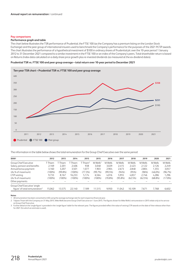#### **Pay comparisons**

#### **Performance graph and table**

The chart below illustrates the TSR performance of Prudential, the FTSE 100 (as the Company has a premium listing on the London Stock Exchange) and the peer group of international insurers used to benchmark the Company's performance for the purposes of the 2021 PLTIP awards. The chart illustrates the performance of a hypothetical investment of \$100 in ordinary shares of Prudential plc over the 10-year period 1 January 2012 to 31 December 2021 compared to a similar investment in the FTSE 100 or an index of the Company's peers. Total shareholder return is based on Returns Index data calculated on a daily share price growth plus re-invested dividends (as measured at the ex-dividend dates).

**Prudential TSR vs. FTSE 100 and peer group average – total return over 10-year period to December 2021**



The information in the table below shows the total remuneration for the Group Chief Executive over the same period:

| \$0001                                     | 2012      | 2013      | 2014      | 2015               | 2015                   | 2016    | 2017    | 2018    | 2019    | 2020       | 2021    |
|--------------------------------------------|-----------|-----------|-----------|--------------------|------------------------|---------|---------|---------|---------|------------|---------|
| Group Chief Executive                      | Thiam     | Thiam     | Thiam     | Thiam <sup>2</sup> | $M$ Wells <sup>2</sup> | M Wells | M Wells | M Wells | M Wells | M Wells    | M Wells |
| Salary, pension and benefits               | 2.169     | 2.201     | 2.406     | 938                | 3.048                  | 3.029   | 2.415   | 2.423   | 2.122   | 2.126      | 2,249   |
| Annual bonus payment                       | 3.160     | 3.207     | 3.501     | 1.077              | 1.903                  | 2.904   | 2.673   | 2.848   | 2.804   | 1,355      | 3,057   |
| (As % of maximum)                          | $(100\%)$ | (99.8%)   | $(100\%)$ | (77.3%)            | (99.7%)                | (99.5%) | (94%)   | (95%)   | (96%)   | $(46.0\%)$ | (96.7%) |
| LTIP vesting                               | 9.733     | 8.167     | 16.233    | 5.174              | 6.564                  | 4.016   | 5.955   | 4.837   | 2.746   | 4.286      | 1.296   |
| (As % of maximum)                          | (100%)    | $(100\%)$ | $(100\%)$ | (100%)             | $(100\%)$              | (70.8%) | (95.8%) | (62.5%) | (62.5%) | $(68.8\%)$ | (17.8%) |
| Other payments                             |           |           |           |                    |                        |         |         |         |         |            |         |
| Group Chief Executive 'single              |           |           |           |                    |                        |         |         |         |         |            |         |
| figure' of total remuneration <sup>3</sup> | 15.062    | 13,575    | 22.140    | 7.189              | 11,515                 | 9,950   | 1.042   | 10.109  | 7,671   | 7.768      | 6,602   |

#### **Notes**

All remuneration has been converted to USD using the average exchange rate for each respective financial year.

2 Tidjane Thiam left the Company on 31 May 2015. Mike Wells became Group Chief Executive on 1 June 2015. The figures shown for Mike Wells's remuneration in 2015 relate only to his service as Group Chief Executive.

3 Further detail on the 'single figure' is provided in the 'single figure' table for the relevant year. The figures provided reflect the value of vesting LTIP awards on the date of their release other than for 2021 (for which an estimate is used).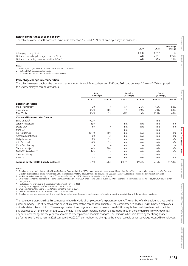#### **Relative importance of spend on pay**

The table below sets out the amounts payable in respect of 2020 and 2021 on all employee pay and dividends:

|                                                          | 2020  | 2021  | Percentage<br>change |
|----------------------------------------------------------|-------|-------|----------------------|
| All employee pay $(\frac{2}{3}m)^{1,2}$                  | 1,000 | 1,057 | 6%                   |
| Dividends including demerger dividend $(\frac{2}{3}m)^3$ | 420   | 2.201 | 424%                 |
| Dividends excluding demerger dividend (\$m) <sup>3</sup> | 420   | 466   | 11%                  |

#### **Notes**

1 All employee pay as taken from note B2.1 to the financial statements.

FY21 and FY20 excludes Jackson costs.

3 Dividends taken from note B5 to the financial statements.

#### **Percentage change in remuneration**

The table below sets out how the change in remuneration for each Director between 2020 and 2021 and between 2019 and 2020 compared to a wider employee comparator group:

|                                          | Salary<br>(% change) |                          | <b>Benefits</b><br>(% change) |                          | Bonus <sup>8</sup><br>(% change) |            |
|------------------------------------------|----------------------|--------------------------|-------------------------------|--------------------------|----------------------------------|------------|
|                                          | 2020-21              | 2019-20                  | 2020-21                       | 2019-20                  | 2020-21                          | 2019-20    |
| <b>Executive Directors</b>               |                      |                          |                               |                          |                                  |            |
| Mark FitzPatrick <sup>1,2</sup>          | 3%                   | 1%                       | 15%                           | 26%                      | 46%                              | (27)%      |
| James Turner <sup>1</sup>                | $(0.5)$ %            | 10%                      | 1%                            | 49%                      | 23%                              | $(2)\%$    |
| Mike Wells <sup>1</sup>                  | $(0.5)$ %            | 1%                       | 20%                           | 35%                      | 110%                             | (52)%      |
| <b>Chair and Non-executive Directors</b> |                      |                          |                               |                          |                                  |            |
| Shriti Vadera <sup>3</sup>               | 907%                 | -                        |                               |                          | n/a                              |            |
| Jeremy Anderson <sup>4</sup>             | 13%                  |                          | n/a                           | n/a                      | n/a                              | n/a        |
| David Law <sup>4</sup>                   | 6%                   | 1%                       | n/a                           | n/a                      | n/a                              | n/a        |
| Ming Lu <sup>6</sup>                     |                      |                          | n/a                           | $\overline{\phantom{0}}$ | n/a                              |            |
| Kai Nargolwala <sup>5</sup>              | $(61)$ %             | 10%                      | n/a                           | n/a                      | n/a                              | n/a        |
| Anthony Nightingale                      | 0%                   | 4%                       | n/a                           | n/a                      | n/a                              | n/a        |
| <b>Philip Remnant</b>                    | 0%                   | 1%                       | n/a                           | n/a                      | n/a                              | n/a        |
| Alice Schroeder <sup>4</sup>             | 24%                  | 1%                       | n/a                           | n/a                      | n/a                              | n/a        |
| Chua Sock Koong <sup>6</sup>             |                      | $\overline{\phantom{0}}$ | n/a                           | $\overline{\phantom{0}}$ | n/a                              |            |
| Thomas Watjen <sup>4</sup>               | (4)%                 | 10%                      | n/a                           | n/a                      | n/a                              | n/a        |
| Fields Wicker-Miurin <sup>4,7</sup>      | 14%                  | 1%                       | n/a                           | n/a                      | n/a                              | n/a        |
| Jeanette Wong <sup>6</sup>               |                      | -                        | n/a                           | -                        | n/a                              |            |
| Amy Yip                                  | 0%                   | 0%                       | n/a                           | n/a                      | n/a                              | n/a        |
| Average pay for all UK-based employees   | 3.05%                | 3.76%                    | 0.67%                         | $(3.95)\%$               | 5.76%                            | $(7.27)\%$ |

**Notes**

2 Mark FitzPatrick received a salary increase of 5 per cent effective 1 April 2021 due to an increased scope to his role.

3 Shriti Vadera joined the Board and the Nominations Committee on 1 May 2020 and became Chair on 1 January 2021. The change in pay reflects her pro-rated pay for 2020 as well as her change in role.

4 Fluctuations in pay are due to change in Committee memberships in 2021.

5 Kai Nargolwala stepped down from the Board at the 2021 AGM.

6 Chua Sock Koong, Ming Lu and Jeanette Wong joined the Board in 2021.

Fields Wicker-Miurin retired from the Board on 31 December 2021.

8 The change in bonus shows change in the value of the annual bonus and does not include the value of long-term incentive awards, in line with the reporting regulations.

The regulations prescribe that this comparison should include all employees of the parent company. The number of individuals employed by the parent company is insufficient to be the basis of a representative comparison. Therefore, the Committee decided to use all UK-based employees asthe basis for this calculation. The average pay for all employees has been calculated on a full-time equivalent basis by reference to the total pay awarded to UK employees in 2021, 2020 and 2019. The salary increase includes uplifts made through the annual salary review, as well as any additional changes in the year, for example, to reflect promotions or role changes. The increase in bonus is driven by the strong financial performance of the business in 2021 compared to 2020. There has been no change to the level of taxable benefit coverage received by employees. **Group overview** Group over **Strategic report**

**Governance**

**Financial statements**

Financial statements

<sup>1</sup> The change in the total salaries paid to Messrs FitzPatrick, Turner and Wells in 2020 includes a salary increase reversed from 1 April 2020. The change in salaries and bonuses for Executive Directors is calculated on a local currency basis. The change in benefits for Executive Directors is calculated in USD, as benefits values are denominated in a number of currencies.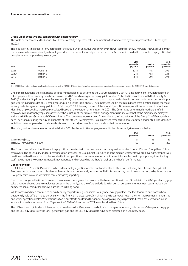#### **Group Chief Executive pay compared with employee pay**

The table below compares the Group Chief Executive's 'single figure' of total remuneration to that received by three representative UK employees in 2021.

The reduction in 'single figure' remuneration for the Group Chief Executive was driven by the lower vesting of the 2019 PLTIP. This was coupled with the increase in bonus received by all employees, due to the better financial performance of the Group, which has led to a reduction in pay ratio at all quartiles when compared to previous years.

| Year  | Method   | 25th<br>percentile<br>pay ratio | Median<br>pay ratio | 75th<br>percentile<br>pay ratio |
|-------|----------|---------------------------------|---------------------|---------------------------------|
| 2021  | Option B | 62:7                            | 44:1                | 29:1                            |
| 20201 | Option B | 72:1                            | 48:1                | 32:1                            |
| 2019  | Option B | 78:1                            | 60:1                | 39:1                            |

#### **Note**

1 2020 CEO pay ratio has been recalculated to account for the 2020 CEO 'single figure' restated on the required basis to reflect the actual value of the 2018 PLTIP award at vesting.

Under the regulations, there is a choice of three methodologies to determine the 25th, median and 75th full-time equivalent remuneration of our UK employees. The Company has chosen to use the 2021 hourly rate gender pay gap information (collected in accordance with the Equality Act 2010 (Gender Pay Gap Information) Regulations 2017), as this method uses data that is aligned with other disclosures made under our gender pay gap reporting and includes all UK employees ('Option B' in the table above). The employees used in the calculations were identified using the most recently collected gender pay gap data, on 1 February 2022, following the end of the financial year. Base salary and total remuneration for these identified employees has then been calculated based on their actual remuneration for 2021. The Committee determined that the identified employees are reasonably representative since the structure of their remuneration arrangements is in line with that of the majority of employees within the UK-based Group Head Office workforce. The same methodology used for calculating the 'single figure' of the Group Chief Executive has been used for calculating the pay and benefits of these three UK employees. No elements of remuneration were omitted or adjusted. The identified individuals were employed on a full-time basis so no further adjustment has been made to their remuneration.

The salary and total remuneration received during 2021 by the indicative employees used in the above analysis are set out below:

|                                 | 25th<br>percentile | Median | 75th<br>percentile |
|---------------------------------|--------------------|--------|--------------------|
| 2021 salary (\$000)             | 87                 |        | 153<br>ر ر         |
| Total 2021 remuneration (\$000) | 106                | 150    | つつつ                |

The Committee believes that the median pay ratio is consistent with the pay, reward and progression policies for our UK-based Group Head Office employees. The base salary and total remuneration levels for the Group Chief Executive and the median representative employee are competitively positioned within the relevant markets and reflect the operation of our remuneration structures which are effective in appropriately incentivising staff, having regard to our risk framework, risk appetites and to rewarding the 'how' as well as the 'what' of performance.

#### **Gender pay gap**

Our UK business, Prudential Services Limited, is the employing entity for all of our London Head Office staff including the UK-based Group Chief Executive and his direct reports. Prudential Services Limited has recently reported its 2021 UK gender pay gap data and details can be found on the Group's website (www.prudentialplc.com/en/esg/esg-reporting).

Due to the change in the Group's business focus, senior management roles are split between locations in the UK and Asia. The 2021 gender pay gap calculations are based on the employees based in the UK only, and therefore exclude data for part of our senior management team, including a number of senior female leaders, who are based in Hong Kong.

While women and men continue to be paid equally for performing similar roles, our gender pay gap reflects the fact that men and women have traditionally held different roles, particularly in the financial services sector. It highlights the fact that we have more men than women in leadership and senior operational roles. We continue to focus our efforts on closing the gender pay gap as quickly as possible. Female representation in our leadership roles has increased from 33 per cent in 2020 to 35 per cent in 2021 in our London Head Office.

The UK headcount of Prudential Services Ltd is now below the 250-person threshold which triggers mandatory publication of the gender pay gap and the CEO pay ratio. Both the 2021 gender pay gap and the CEO pay ratio data have been disclosed on a voluntary basis.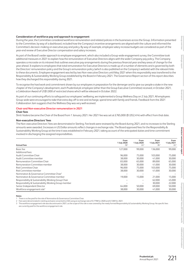**Strategic report**

#### **Consideration of workforce pay and approach to engagement**

During the year, the Committee considered workforce remuneration and related policies in the businesses across the Group. Information presented to the Committee, by way of a dashboard, included how the Company's incentive arrangements are aligned with the culture and informed the Committee's decision-making on executive pay and policy. By way of example, employee salary increase budgets are considered as part of the year-end review of Executive Director compensation and salary increases.

As part of the Board's wider approach to employee engagement, which also included a Group-wide engagement survey, the Committee took additional measures in 2021 to explain how the remuneration of Executive Directors aligns with the wider Company pay policy. The Company operates a microsite on its intranet that outlines executive pay arrangements during the previous financial year and key areas of change for the year ahead. It explains to employees that total remuneration for Executive Directors is made up of a number of elements and is governed by both the Directors' remuneration policy and the Group's remuneration policy (which is also published on the Company's website) with the relevant links to these documents. Employee engagement was led by two Non-executive Directors until May 2021 when this responsibility was transferred to the Responsibility & Sustainability Working Group established by the Board in February 2021. The Governance Report section of this report describes how they discharged this responsibility during 2021.

To recognise the hard work and commitment shown by our employees in preparation for the demerger and to give our people a stake in the new chapter of the Company's development, each Prudential plc employee (other than the Group Executive Committee) received, in October 2021, a Celebration Award of US\$1,000 of restricted shares which will be released in October 2022.

As part of our continuing efforts to safeguard our employees' wellbeing, we implemented a Group Wellness Day on 2 July 2021. All employees Group-wide were encouraged to take that extra day off to rest and recharge, spend time with family and friends. Feedback from the 2021 Collaboration Jam suggests that the Wellness Day was very well received.

#### **Chair and Non-executive Director remuneration in 2021**

#### **Chair fees**

Shriti Vadera became the Chair of the Board from 1 January 2021. Her 2021 fee was set at £765,000 (\$1,052,414) with effect from that date.

#### **Non-executive Directors' fees**

The Non-executive Directors' fees are denominated in Sterling. Fee levels were reviewed by the Board during 2021, and no increases to the Sterling amounts were awarded. Increases in US Dollar amounts reflect changes in exchange rate. The Board approved fees for the Responsibility & Sustainability Working Group at the time it was established in February 2021, taking account of the anticipated duties and time commitment involved in discharging the assigned responsibilities.

|                                                      | From                   | From                   | From                   | From                   |
|------------------------------------------------------|------------------------|------------------------|------------------------|------------------------|
| <b>Annual fees</b>                                   | 1 July 2020<br>$(5)^2$ | 1 July 2020<br>$(E)^2$ | 1 July 2021<br>$(5)^2$ | 1 July 2021<br>$(E)^2$ |
| Basic fee                                            | 127,000                | 99.000                 | 136,000                | 99,000                 |
| Additional fees:                                     |                        |                        |                        |                        |
| Audit Committee Chair                                | 96.000                 | 75,000                 | 103.000                | 75,000                 |
| Audit Committee member                               | 38,000                 | 30,000                 | 41,000                 | 30,000                 |
| Remuneration Committee Chair                         | 83,000                 | 65,000                 | 89,000                 | 65,000                 |
| Remuneration Committee member                        | 38,000                 | 30.000                 | 41.000                 | 30,000                 |
| Risk Committee Chair                                 | 96,000                 | 75,000                 | 103,000                | 75,000                 |
| Risk Committee member                                | 38,000                 | 30,000                 | 41.000                 | 30,000                 |
| Nomination & Governance Committee Chair <sup>1</sup> |                        |                        |                        |                        |
| Nomination & Governance Committee member             | 19.000                 | 15.000                 | 21.000                 | 15,000                 |
| Responsibility & Sustainability Working Group Chair  |                        |                        | 62.000                 | 45,000                 |
| Responsibility & Sustainability Working Group member |                        |                        | 30,000                 | 22,000                 |
| Senior Independent Director                          | 64.000                 | 50.000                 | 69,000                 | 50,000                 |
| Workforce engagement role <sup>3</sup>               | 38,000                 | 30,000                 | 41,000                 | 30,000                 |

#### **Notes**

1 There is no fee paid for the role of Nomination & Governance Committee Chair.

2 Fees were denominated in sterling and were converted to USD using an exchange rate of 0.7798 for 2020 and 0.7269 for 2021.

3 The workforce engagement role was discontinued in 2021, as the scope of this role is now covered by the newly formed Responsibility & Sustainability Working Group. No specific fees are currently paid for the workforce engagement role.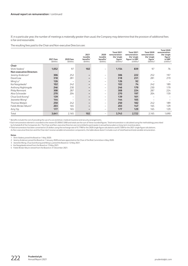If, in a particular year, the number of meetings is materially greater than usual, the Company may determine that the provision of additional fees isfair and reasonable.

The resulting fees paid to the Chair and Non-executive Directors are:

|                                   | 2021 fees<br>(5000s) | 2020 fees<br>(\$000s)    | 2021<br>taxable<br>benefits <sup>*</sup><br>(5000s) | 2020<br>taxable<br>benefits <sup>*</sup><br>(\$000s) | <b>Total 2021</b><br>remuneration:<br>the 'single<br>figure'<br>$($000s)^{+}$ | Total 2021<br>remuneration:<br>the 'single<br>figure' in GBP<br>$(E000s)^*$ | <b>Total 2020</b><br>remuneration:<br>the 'single<br>figure'<br>$($000s)^{+}$ | <b>Total 2020</b><br>remuneration:<br>the 'single<br>figure'<br>in GBP<br>$(E000s)^*$ |
|-----------------------------------|----------------------|--------------------------|-----------------------------------------------------|------------------------------------------------------|-------------------------------------------------------------------------------|-----------------------------------------------------------------------------|-------------------------------------------------------------------------------|---------------------------------------------------------------------------------------|
| Chair                             |                      |                          |                                                     |                                                      |                                                                               |                                                                             |                                                                               |                                                                                       |
| Shriti Vadera <sup>1</sup>        | 1,052                | 97                       | 102                                                 | $\qquad \qquad -$                                    | 1,154                                                                         | 839                                                                         | 97                                                                            | 76                                                                                    |
| <b>Non-executive Directors</b>    |                      |                          |                                                     |                                                      |                                                                               |                                                                             |                                                                               |                                                                                       |
| Jeremy Anderson <sup>2</sup>      | 306                  | 252                      | $\qquad \qquad -$                                   | $\qquad \qquad -$                                    | 306                                                                           | 222                                                                         | 252                                                                           | 197                                                                                   |
| David Law                         | 318                  | 281                      | $\qquad \qquad$                                     | $\qquad \qquad -$                                    | 318                                                                           | 231                                                                         | 281                                                                           | 219                                                                                   |
| Ming $Lu^3$                       | 126                  | $\overline{\phantom{0}}$ | $\qquad \qquad$                                     | $\qquad \qquad -$                                    | 126                                                                           | 92                                                                          |                                                                               |                                                                                       |
| Kai Nargolwala <sup>4</sup>       | 102                  | 242                      | $\qquad \qquad$                                     | $\qquad \qquad -$                                    | 102                                                                           | 74                                                                          | 242                                                                           | 189                                                                                   |
| Anthony Nightingale               | 246                  | 230                      | $\qquad \qquad$                                     | $\overline{\phantom{0}}$                             | 246                                                                           | 179                                                                         | 230                                                                           | 179                                                                                   |
| <b>Philip Remnant</b>             | 308                  | 287                      | $\overline{\phantom{0}}$                            | $\qquad \qquad -$                                    | 308                                                                           | 224                                                                         | 287                                                                           | 224                                                                                   |
| Alice Schroeder                   | 270                  | 204                      | $\qquad \qquad$                                     | $\qquad \qquad -$                                    | 270                                                                           | 197                                                                         | 204                                                                           | 159                                                                                   |
| Chua Sock Koong <sup>3</sup>      | 139                  | $\overline{\phantom{0}}$ | $\qquad \qquad$                                     | $\qquad \qquad -$                                    | 139                                                                           | 101                                                                         |                                                                               |                                                                                       |
| Jeanette Wong <sup>3</sup>        | 144                  | $\overline{\phantom{0}}$ | $\qquad \qquad$                                     | $\qquad \qquad -$                                    | 144                                                                           | 105                                                                         |                                                                               |                                                                                       |
| Thomas Watjen                     | 250                  | 242                      | $\qquad \qquad$                                     | $\overline{\phantom{m}}$                             | 250                                                                           | 182                                                                         | 242                                                                           | 189                                                                                   |
| Fields Wicker-Miurin <sup>5</sup> | 203                  | 165                      | $\qquad \qquad$                                     | $\qquad \qquad -$                                    | 203                                                                           | 147                                                                         | 165                                                                           | 129                                                                                   |
| Amy Yip                           | 177                  | 165                      | $\qquad \qquad$                                     | $\qquad \qquad -$                                    | 177                                                                           | 129                                                                         | 165                                                                           | 129                                                                                   |
| Total                             | 3,641                | 2,165                    | 102                                                 | $\qquad \qquad -$                                    | 3,743                                                                         | 2,722                                                                       | 2,165                                                                         | 1,690                                                                                 |

\* Benefits include the cost of providing the use of a car and driver, medical insurance and security arrangements.

† Each remuneration element is rounded to the nearest \$1,000/£1,000 and totals are the sum of these rounded figures. Total remuneration is calculated using the methodology prescribed by Schedule 8 of the Companies Act. The Chair and Non-executive Directors are not entitled to participate in annual bonus plans or long-term incentive plans.

‡ Total remuneration has been converted to US dollars using the exchange rate of 0.7798 for the 2020 single figure calculations and 0.7269 for the 2021 single figure calculations.

As Non-executive Directors and the Chair don't receive variable remuneration components, the table above doesn't include a sum of total fixed and total variable remuneration.

#### **Notes**

1 Shriti Vadera joined the Board on 1 May 2020.

2 Jeremy Anderson joined the Board on 1 January 2020 and was appointed as the Chair of the Risk Committee in May 2020.

3 Jeanette Wong, Chua Sock Koong and Ming Lu joined the Board on 12 May 2021.

4 Kai Nargolwala retired from the Board on 13 May 2021.

5 Fields Wicker-Miurin retired from the Board on 31 December 2021.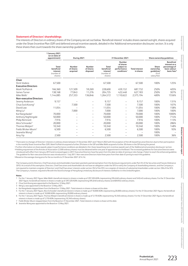#### **Statement of Directors' shareholdings**

The interests of Directors in ordinary shares of the Company are set out below. 'Beneficial interest' includes shares owned outright, shares acquired under the Share Incentive Plan (SIP) and deferred annual incentive awards, detailed in the 'Additional remuneration disclosures' section. It is only these shares that count towards the share ownership guidelines.

|                                   | 1 January 2021<br>(or on date of<br>appointment)         | During 2021                     |                                 |                                                                       | 31 December 2021                                                            |                                    | Share ownership quidelines                                             |                                                                                                 |
|-----------------------------------|----------------------------------------------------------|---------------------------------|---------------------------------|-----------------------------------------------------------------------|-----------------------------------------------------------------------------|------------------------------------|------------------------------------------------------------------------|-------------------------------------------------------------------------------------------------|
|                                   | Total<br>beneficial<br>interest<br>(number of<br>shares) | Number<br>of shares<br>acquired | Number<br>of shares<br>disposed | Total<br>beneficial<br>interest <sup>*</sup><br>(number of<br>shares) | Number<br>of shares<br>subject to<br>performance<br>conditions <sup>+</sup> | <b>Total interest</b><br>in shares | <b>Share</b><br>ownership<br>$a$ uidelines $†$<br>(% of<br>salary/fee) | <b>Beneficial</b><br>interest as a<br>percentage of<br>basic salary/<br>basic fees <sup>§</sup> |
| Chair                             |                                                          |                                 |                                 |                                                                       |                                                                             |                                    |                                                                        |                                                                                                 |
| Shriti Vadera                     | 67.500                                                   |                                 |                                 | 67,500                                                                |                                                                             | 67.500                             | 100%                                                                   | 125%                                                                                            |
| <b>Executive Directors</b>        |                                                          |                                 |                                 |                                                                       |                                                                             |                                    |                                                                        |                                                                                                 |
| Mark FitzPatrick                  | 166.360                                                  | 121,509                         | 59,269                          | 228,600                                                               | 459.132                                                                     | 687.732                            | 250%                                                                   | 405%                                                                                            |
| James Turner                      | 138.168                                                  | 77.843                          | 11.276                          | 204.735                                                               | 422.448                                                                     | 627.183                            | 250%                                                                   | 307%                                                                                            |
| Mike Wells <sup>1</sup>           | 1.144.085                                                | 257,333                         | 136.846                         | 1.264.572                                                             | 1.110.622                                                                   | 2.375.194                          | 400%                                                                   | 1556%                                                                                           |
| <b>Non-executive Directors</b>    |                                                          |                                 |                                 |                                                                       |                                                                             |                                    |                                                                        |                                                                                                 |
| Jeremy Anderson                   | 9,157                                                    |                                 |                                 | 9.157                                                                 | $\overline{\phantom{0}}$                                                    | 9.157                              | 100%                                                                   | 131%                                                                                            |
| Chua Sock Koong <sup>2</sup>      |                                                          | 7,500                           | $\qquad \qquad -$               | 7.500                                                                 | $\overline{\phantom{0}}$                                                    | 7.500                              | 100%                                                                   | 107%                                                                                            |
| David Law                         | 11,054                                                   |                                 | -                               | 11.054                                                                | —                                                                           | 11,054                             | 100%                                                                   | 158%                                                                                            |
| Ming $Lu^3$                       |                                                          | 7.000                           | —                               | 7.000                                                                 |                                                                             | 7,000                              | 100%                                                                   | 100%                                                                                            |
| Kai Nargolwala <sup>4</sup>       | 70.000                                                   |                                 | -                               | 70.000                                                                | —                                                                           | 70.000                             | 100%                                                                   | 1000%                                                                                           |
| Anthony Nightingale               | 50.000                                                   |                                 | $\overline{\phantom{0}}$        | 50.000                                                                | $\overline{\phantom{0}}$                                                    | 50.000                             | 100%                                                                   | 714%                                                                                            |
| Philip Remnant                    | 7,916                                                    |                                 | $\overline{\phantom{0}}$        | 7.916                                                                 | $\overline{\phantom{m}}$                                                    | 7,916                              | 100%                                                                   | 113%                                                                                            |
| Alice Schroeder <sup>5</sup>      | 20.000                                                   |                                 |                                 | 20.000                                                                | —                                                                           | 20.000                             | 100%                                                                   | 286%                                                                                            |
| Thomas Watjen <sup>6</sup>        | 10.340                                                   |                                 |                                 | 10.340                                                                | $\overline{\phantom{0}}$                                                    | 10.340                             | 100%                                                                   | 148%                                                                                            |
| Fields Wicker-Miurin <sup>7</sup> | 6,500                                                    |                                 | -                               | 6,500                                                                 | -                                                                           | 6,500                              | 100%                                                                   | 93%                                                                                             |
| Jeanette Wong <sup>8</sup>        |                                                          |                                 |                                 |                                                                       |                                                                             |                                    | 100%                                                                   |                                                                                                 |
| Amy Yip                           | 2,500                                                    |                                 | —                               | 2,500                                                                 | -                                                                           | 2,500                              | 100%                                                                   | 36%                                                                                             |

\* There were no changes of Directors' interests in ordinary shares between 31 December 2021 and 7 March 2022 with the exception of the UK-based Executive Directors due to their participation in the monthly Share Incentive Plan (SIP). Mark FitzPatrick acquired a further 29 shares in the SIP and Mike Wells acquired a further 30 shares in the SIP during this period.

† Further information on share awards subject to performance conditions are detailed in the 'share-based long-term incentive awards' part of the 'Additional remuneration disclosures' section. ‡Holding requirement of the Articles of Association (2,500 ordinary shares) must be obtained within one year of appointment to the Board. The increased guidelines for Executive Directors were introduced with effect from January 2013 and increased again in 2017. Executive Directors have five years from this date (or date of joining or role change, if later) to reach the enhanced guideline. The guideline for Non-executive Directors was introduced on 1 July 2011. Non-executive Directors have three years from their date of joining to reach the guideline.

§ Based on the average closing price for the six months to 31 December 2021 (£14.14).

The Company and its Directors, Chief Executives and shareholders have been granted a partial exemption from the disclosure requirements under Part XV of the Securities and Futures Ordinance (SFO). As a result of this exemption, Directors, Chief Executives and shareholders do not have an obligation under the SFO to notify the Company of shareholding interests, and the Company is not required to maintain a register of Directors' and Chief Executives' interests under section 352 of the SFO, nor a register of interests of substantial shareholders under section 336 of the SFO. The Company is, however, required to file with the Stock Exchange of Hong Kong Limited any disclosure of interests notified to it in the United Kingdom.

**Notes**<br>1 For -<br>1 For the 1 January 2021 figure, Mike Wells's beneficial interest in shares is made up of 297,320 ADRs (representing 594,640 ordinary shares) and 549,445 ordinary shares. For the 31 December 2021 figure, his beneficial interest in shares is made up of 297,320 ADRs (representing 594,640 ordinary shares) and 669,932 ordinary shares.

2 Chua Sock Koong was appointed to the Board on 12 May 2021.

3 Ming Lu was appointed to the Board on 12 May 2021.

- 4 Kai Nargolwala stepped down from the Board on 13 May 2021. Total interests in shares is shown at this date.
- 5 For the 1 January 2021 figure, Alice Schroeder's beneficial interest in shares is made up of 10,000 ADRs (representing 20,000 ordinary shares). For the 31 December 2021 figure, the beneficial interest in shares is made up of 10,000 ADRs (representing 20,000 ordinary shares).

6 For the 1 January 2021 figure, Thomas Watjen's beneficial interest in shares is made up of 5,170 ADRs (representing 10,340 ordinary shares). For the 31 December 2021 figure, the beneficial interest in shares is made up of 5,170 ADRs (representing 10,340 ordinary shares).

Fields Wicker-Miurin stepped down from the Board on 31 December 2021. Total interests in shares is shown at this date

8 Jeanette Wong was appointed to the Board on 12 May 2021.

**Strategic report**

**Governance**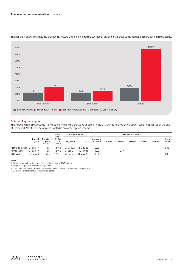

The bar chart below illustrates the Executive Directors' shareholding as a percentage of base salary relative to the applicable share ownership guideline.

#### **Outstanding share options**

The following table sets out the share options held by the Executive Directors in the UK Savings-Related Share Option Scheme (SAYE) as at the end of the period. No other directors participated in any other option scheme.

| Market                     |                  |                              |                                       | Exercise period |           |                        | <b>Number of options</b> |                          |           |           |                          |                  |
|----------------------------|------------------|------------------------------|---------------------------------------|-----------------|-----------|------------------------|--------------------------|--------------------------|-----------|-----------|--------------------------|------------------|
|                            | Date of<br>grant | Exercise<br>price<br>(pence) | price at<br>31 Dec<br>2021<br>(pence) | Beginning       | End       | Beginning<br>of period | Granted                  | Exercised                | Cancelled | Forfeited | Lapsed                   | End of<br>period |
| Mark FitzPatrick 21 Sep 17 |                  | 1455                         | 1274.5                                | 01 Dec 22       | 31 May 23 | 2,061                  |                          |                          |           |           | $\overline{\phantom{0}}$ | 2,061            |
| James Turner               | 21 Sep 17        | 1455                         | 1274.5                                | 01 Jan 21       | 30 Jun 21 | 1.237                  | -                        | .237                     |           |           |                          |                  |
| Mike Wells                 | 22 Sep 20        | 964                          | 1274.5                                | 01 Dec 23       | 31 May 24 | 1,867                  | -                        | $\overline{\phantom{m}}$ |           |           | $\qquad \qquad -$        | .867             |

#### **Notes**

1 No gain was made by Directors in 2021 on the exercise of SAYE options.

2 No price was paid for the award of any option.

3 The highest and lowest closing share prices during 2021 were £15.86 and £11.73 respectively.

4 All exercise prices are shown to the nearest pence.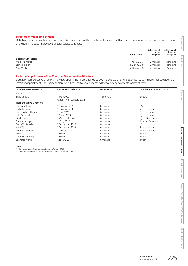#### **Directors' terms of employment**

Details of the service contracts of each Executive Director are outlined in the table below. The Directors' remuneration policy contains further details of the terms included in Executive Director service contracts.

|                            | Date of contract | Notice period<br>to the<br>Company | Notice period<br>from the<br>Company |
|----------------------------|------------------|------------------------------------|--------------------------------------|
| <b>Executive Directors</b> |                  |                                    |                                      |
| Mark FitzPatrick           | 17 May 2017      | 12 months                          | 12 months                            |
| James Turner               | 1 March 2018     | 12 months                          | 12 months                            |
| Mike Wells                 | 21 May 2015      | 12 months                          | 12 months                            |

#### **Letters of appointment of the Chair and Non-executive Directors**

Details of Non-executive Directors' individual appointments are outlined below. The Directors' remuneration policy contains further details on their letters of appointment. The Chair and Non-executive Directors are not entitled to receive any payments for loss of office.

| <b>Chair/Non-executive Director</b> | <b>Appointment by the Board</b> | Notice period | Time on the Board at 2022 AGM |
|-------------------------------------|---------------------------------|---------------|-------------------------------|
| Chair                               |                                 |               |                               |
| Shriti Vadera                       | 1 May 2020                      | 12 months     | 2 years                       |
|                                     | (Chair from 1 January 2021)     |               |                               |
| <b>Non-executive Directors</b>      |                                 |               |                               |
| Kai Nargolwala <sup>1</sup>         | 1 January 2012                  | 6 months      | n/a                           |
| <b>Philip Remnant</b>               | 1 January 2013                  | 6 months      | 9 years 4 months              |
| Anthony Nightingale                 | 1 June 2013                     | 6 months      | 8 years 11 months             |
| Alice Schroeder                     | 10 June 2013                    | 6 months      | 8 years 11 months             |
| David Law                           | 15 September 2015               | 6 months      | 6 years 8 months              |
| Thomas Watjen                       | 11 July 2017                    | 6 months      | 4 years 10 months             |
| Fields Wicker-Miurin <sup>2</sup>   | 3 September 2018                | 6 months      | n/a                           |
| Amy Yip                             | 2 September 2019                | 6 months      | 2 years 8 months              |
| Jeremy Anderson                     | 1 January 2020                  | 6 months      | 2 years 4 months              |
| Ming Lu                             | 12 May 2021                     | 6 months      | 1 year                        |
| Chua Sock Koong                     | 12 May 2021                     | 6 months      | 1 year                        |
| Jeanette Wong                       | 12 May 2021                     | 6 months      | 1 year                        |

## **Note**<br>1 Ko

1 Kai Nargolwala retired from the Board on 13 May 2021.

2 Fields Wicker-Miurin retired from the Board on 31 December 2021.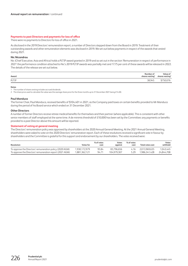#### **Payments to past Directors and payments for loss of office**

There were no payments to Directors for loss of office in 2021.

As disclosed in the 2019 Directors' remuneration report, a number of Directors stepped down from the Board in 2019. Treatment of their outstanding awards and other remuneration elements was disclosed in 2019. We set out below payments in respect of the awards that vested during 2021.

#### **Nic Nicandrou**

Nic (Chief Executive, Asia and Africa) holds a PLTIP award granted in 2019 and as set out in the section 'Remuneration in respect of performance in 2021' the performance condition attached to Nic's 2019 PLTIP awards was partially met and 17.75 per cent of these awards will be released in 2022. The details of the release are set out below.

| Award | Number of<br>shares vesting <sup>1</sup> | Value of<br>shares vesting <sup>2</sup> |
|-------|------------------------------------------|-----------------------------------------|
| PLTIP | 38945<br>╌                               | $\sim$ $\sim$ $\sim$                    |

#### **Notes**

1 The number of shares vesting includes accrued dividends.

2 The share price used to calculate the value was the average share price for the three months up to 31 December 2021 being £14.00.

#### **Paul Manduca**

The former Chair, Paul Manduca, received benefits of \$104,401 in 2021, as the Company paid taxes on certain benefits provided to Mr Manduca during the period of his Board service which ended on 31 December 2021.

#### **Other Directors**

A number of former Directors receive retiree medical benefits for themselves and their partner (where applicable). This is consistent with other senior members of staff employed at the same time. A de minimis threshold of £10,000 has been set by the Committee; any payments or benefits provided to a past Director above this amount will be reported.

#### **Statement of voting at general meeting**

The Directors' remuneration policy was approved by shareholders at the 2020 Annual General Meeting. At the 2021 Annual General Meeting, shareholders were asked to vote on the 2020 Directors' remuneration report. Each of these resolutions received a significant vote in favour by shareholders and the Committee is grateful for this support and endorsement by our shareholders. The votes received were:

| Resolution                                               | Votes for     | % of votes<br>cast | Votes<br>against | % of votes<br>cast | <b>Total votes cast</b> | Votes<br>withheld |
|----------------------------------------------------------|---------------|--------------------|------------------|--------------------|-------------------------|-------------------|
| To approve the Directors' remuneration policy (2020 AGM) | 1.930.172.979 | 95.84              | 83.796.656       | 416                | 2.013.969.635           | 1.043.445         |
| To approve the Directors' remuneration report (2021 AGM) | 1.881.362.121 | 94.71              | 104.979.307      | 5.29               | 1.986.341.428           | 24.844.708        |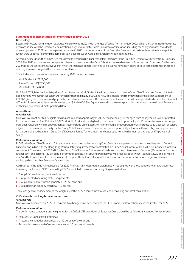#### **Statement of implementation of remuneration policy in 2022**

#### **Base salary**

Executive Directors' remuneration packages were reviewed in 2021 with changes effective from 1 January 2022. When the Committee made these decisions, in line with the Director's remuneration policy, several factors were taken into consideration, including the salary increases awarded to other employees in 2021 and the expected increases in 2022, the performance of the Executive Directors, and external market reference points (which were updated following the demerger to increase focus on Asia-led financial services organisations).

After due deliberation, the Committee considered there should be 3 per cent salary increases to the Executive Directors with effect from 1 January 2022. The 2022 salary increase budgets for other employees across the Group's businesses were between 4.5 per cent and 5 per cent. On this basis, 2022 will be the tenth consecutive year in which the increases generally offered to executives have been below or close to the bottom of the range of salary increases budgeted for the broader workforce.

The salaries which were effective from 1 January 2022 are set out below:

- **>** Mark FitzPatrick: £822,000
- **>** James Turner: HK\$7,550,000
- **>** Mike Wells: £1,184,000

On 1 April 2022, Mike Wells will step down from his role and Mark FitzPatrick will be appointed as interim Group Chief Executive. During his interim appointment, Mr FitzPatrick's salary will remain unchanged at £822,000, and he will be eligible for a monthly, pensionable cash supplement of £30,167, giving him the same fixed pay for this period as his predecessor. On the same date, James Turner will be appointed as Group Chief Financial Officer. Mr Turner's annual salary will increase to HK\$8,460,000. This figure is lower than the salary paid to his predecessor given that Mr Turner is not being appointed as Chief Operating Officer.

#### **Annual bonus**

#### *Award levels*

Mike Wells will continue to be eligible for a maximum bonus opportunity of 200 per cent of salary, unchanged from prior year. This will be prorated for the period worked (until 31 March 2022). Mark FitzPatrick will be eligible for a maximum bonus opportunity of 175 per cent of salary, unchanged from prior year. Following his appointment as interim Group Chief Executive, his maximum bonus opportunity will increase to 200 per cent of salary, aligned to the current opportunity for the Group Chief Executive role. This increased bonus opportunity will include the monthly cash supplement for the period served as interim Group Chief Executive. James Turner's maximum bonus opportunity will remain unchanged at 175 per cent of salary.

#### *Performance conditions*

In 2021 the Group Chief Financial Officer role was designated under the Hong Kong Group-wide supervision regime as a Key Person in a Control Function, and in line with the Hong Kong IA's regulatory requirements for control staff, his 2022 Annual Incentive Plan (AIP) will include a functional component. Therefore, the 2022 AIP for the Group Chief Financial Officer role will be based on the achievement of financial (50 per cent), functional (30 per cent) and personal (20 per cent) performance targets. This structure will apply to Mark FitzPatrick between 1 January 2022 and 31 March 2022 and to James Turner for the remainder of the year. The balance of financial, functional and personal performance targets will remain unchanged for the other Executive Director roles.

As disclosed in the 2020 Annual Report, for 2022 financial AIP measures and weightings will be aligned with those adopted for the Asia business, increasing the focus on NBP. The resulting 2022 financial AIP measures and weightings are as follows:

- **>** Group EEV new business profit 45 per cent;
- **>** Group adjusted operating profit 25 per cent;
- **>** Group operating free surplus generated 20 per cent; and
- **>** Group Holding Company cash flow 10 per cent.

There was general endorsement of the weighting of the 2022 AIP measures by shareholders during our latest consultation.

#### **2022 share-based long-term incentive awards**

#### *Award levels*

Mike Wells will not receive a 2022 PLTIP award. No changes have been made to the PLTIP award levels for other Executive Directors for 2022.

#### *Performance conditions*

The performance conditions and weightings for the 2022 PLTIP awards for all Executive Directors will be as follows, unchanged from prior year:

- **>** Relative TSR (50 per cent of award);
- **>** A return on embedded value measure (30 per cent of award); and
- **>** Sustainability scorecard of strategic measures (20 per cent of award).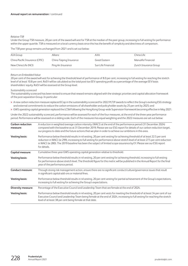#### *Relative TSR*

Under the Group TSR measure, 20 per cent of the award will vest for TSR at the median of the peer group, increasing to full vesting for performance within the upper quartile. TSR is measured on a local currency basis since this has the benefit of simplicity and directness of comparison.

The TSR peer group remains unchanged from 2021 and is set out below:

| AIA Group                      | Allianz                 | AXA                | Ching Life             |
|--------------------------------|-------------------------|--------------------|------------------------|
| China Pacific Insurance (CPIC) | China Taiping Insurance | Great Eastern      | Manulife Financial     |
| New China Life (NCI)           | Ping An Insurance       | Sun Life Financial | Zurich Insurance Group |

#### *Return on Embedded Value*

20 per cent of the award will vest for achieving the threshold level of performance of 8.0 per cent, increasing to full vesting for reaching the stretch level of at least 10.8 per cent. RoEV will be calculated as the total post-tax EEV operating profit as a percentage of the average EEV basis shareholders' equity. RoEV will be assessed at the Group level.

#### *Sustainability scorecard*

The sustainability scorecard has been revised to ensure that reward remains aligned with the strategic priorities and capital allocation framework of the post-separation Group. In particular:

- **>** A new carbon reduction measure replaced ECap in the sustainability scorecard for 2022 PLTIP awards to reflect the Group's evolving ESG strategy and external commitments to reduce the carbon emissions of all shareholder and policyholder assets by 25 per cent by 2025; and
- **>** GWS operating capital generation replaced the LCSM following the Hong Kong Group-wide Supervision framework becoming effective in May 2021.

Under the 2022 sustainability scorecard, performance will be assessed for each of the four measures, at the end of the three-year performance period. Performance will be assessed on a sliding scale. Each of the measures has equal weighting and the 2022 measures are set out below:

| <b>Carbon reduction</b><br>measure: | A reduction in weighted average carbon intensity (WACI) at the end of the performance period (31 December 2024)<br>compared with the baseline as at 31 December 2019. Please see our ESG report for details of our carbon reduction target,<br>our progress to date and the future actions that we plan in order to achieve our ambitions in this area.                                             |
|-------------------------------------|-----------------------------------------------------------------------------------------------------------------------------------------------------------------------------------------------------------------------------------------------------------------------------------------------------------------------------------------------------------------------------------------------------|
| <b>Vesting basis:</b>               | Performance below threshold results in nil vesting, 20 per cent vesting for achieving threshold of at least 22.5 per cent<br>reduction in WACI (ie 299), increasing to full vesting for performance above stretch level of at least 27.5 per cent reduction<br>in WACI (ie 280). The 2019 baseline has been the subject of limited scope assurance by EY. Please see our ESG report<br>for details. |
| Capital measure:                    | Cumulative three-year GWS operating capital generation relative to threshold.                                                                                                                                                                                                                                                                                                                       |
| <b>Vesting basis:</b>               | Performance below threshold results in nil vesting, 20 per cent vesting for achieving threshold, increasing to full vesting<br>for performance above stretch level. The threshold figure for this metric will be published in the Annual Report for the final<br>year of the performance period.                                                                                                    |
| <b>Conduct measure:</b>             | Through strong risk management action, ensure there are no significant conduct/culture/governance issues that result<br>in significant capital add-ons or material fines.                                                                                                                                                                                                                           |
| <b>Vesting basis:</b>               | Performance below threshold results in nil vesting, 20 per cent vesting for partial achievement of the Group's expectations,<br>increasing to full vesting for achieving the Group's expectations.                                                                                                                                                                                                  |
| <b>Diversity measure:</b>           | Percentage of the Executive Council and Leadership Team that are female at the end of 2024.                                                                                                                                                                                                                                                                                                         |
| <b>Vesting basis:</b>               | Performance below threshold results in nil vesting, 20 per cent vests for meeting the threshold of at least 34 per cent of our<br>Executive Council and Leadership Team being female at the end of 2024, increasing to full vesting for reaching the stretch<br>level of at least 38 per cent being female at that date.                                                                            |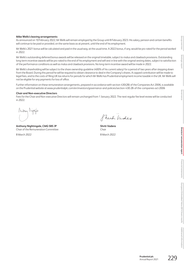#### **Mike Wells's leaving arrangements**

As announced on 10 February 2022, Mr Wells will remain employed by the Group until 8 February 2023. His salary, pension and certain benefits will continue to be paid or provided, on the same basis as at present, until the end of his employment.

Mr Wells's 2021 bonus will be calculated and paid in the usual way, at the usual time. A 2022 bonus, if any, would be pro-rated for the period worked in 2022.

Mr Wells's outstanding deferred bonus awards will be released on the original timetable, subject to malus and clawback provisions. Outstanding long-term incentive awards will be pro-rated to the end of his employment and will vest in line with the original vesting dates, subject to satisfaction of the performance conditions as well as malus and clawback provisions. No long-term incentive award will be made in 2022.

Mr Wells's shareholding will be subject to the share ownership guideline (400% of his current salary) for a period of two years after stepping down from the Board. During this period he will be required to obtain clearance to deal in the Company's shares. A capped contribution will be made to legal fees, and to the costs of filing UK tax returns for periods for which Mr Wells has Prudential employment income taxable in the UK. Mr Wells will not be eligible for any payments for loss of office.

Further information on these remuneration arrangements, prepared in accordance with section 430(2B) of the Companies Act 2006, is available on the Prudential website at www.prudentialplc.com/en/investors/governance-and-policies/section-430-2B-of-the-companies-act-2006

#### **Chair and Non-executive Directors**

Fees for the Chair and Non-executive Directors will remain unchanged from 1 January 2022. The next regular fee level review will be conducted in 2022.

Arbay Nightale

**Anthony Nightingale, CMG SBS JP Shriti Vadera** Chair of the Remuneration Committee Chair

8 March 2022 8 March 2022

Shut Video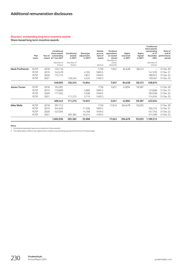#### **Directors' outstanding long-term incentive awards**

**Share-based long-term incentive awards**

|                         | Plan<br>name | Year of | Conditional<br>share awards<br>outstanding<br>award at 1 Jan 2021<br>(Number of<br>shares) | Conditional<br>awards<br>in 2021<br>(Number of<br>shares) | Demerger<br>adjustment<br>in 2021 <sup>2</sup> | Market<br>price at<br>date of<br>award<br>(pence) | <b>Dividend</b><br>equivalents<br>on vested<br>shares <sup>1</sup><br>(Number of<br>shares<br>released) | Rights<br>exercised<br>in 2021 | <b>Rights</b><br>lapsed<br>in 2021 | Conditional<br>share awards<br>outstanding<br>at 31<br>December<br>2021<br>(Number of<br>shares) | Date of<br>end of<br>performance<br>period |
|-------------------------|--------------|---------|--------------------------------------------------------------------------------------------|-----------------------------------------------------------|------------------------------------------------|---------------------------------------------------|---------------------------------------------------------------------------------------------------------|--------------------------------|------------------------------------|--------------------------------------------------------------------------------------------------|--------------------------------------------|
| <b>Mark FitzPatrick</b> | PLTIP        | 2018    | 123,110                                                                                    |                                                           |                                                | 1750                                              | 7,047                                                                                                   | 84,638                         | 38,472                             | $\overline{\phantom{0}}$                                                                         | 31 Dec 20                                  |
|                         | PLTIP        | 2019    | 142,470                                                                                    |                                                           | 4,765                                          | 1605.5                                            |                                                                                                         |                                |                                    | 147,235                                                                                          | 31 Dec 21                                  |
|                         | PLTIP        | 2020    | 175,115                                                                                    |                                                           | 5.857                                          | 1049.5                                            |                                                                                                         |                                |                                    | 180.972                                                                                          | 31 Dec 22                                  |
|                         | PLTIP        | 2021    |                                                                                            | 126,245                                                   | 4,222                                          | 1495.5                                            |                                                                                                         |                                |                                    | 130,467                                                                                          | 31 Dec 23                                  |
|                         |              |         | 440,695                                                                                    | 126,245                                                   | 14,844                                         |                                                   | 7,047                                                                                                   | 84,638                         | 38,472                             | 458,674                                                                                          |                                            |
| <b>James Turner</b>     | PLTIP        | 2018    | 103,281                                                                                    |                                                           |                                                | 1750                                              | 3,651                                                                                                   | 43,894                         | 59,387                             | $\overline{\phantom{0}}$                                                                         | 31 Dec 20                                  |
|                         | PLTIP        | 2019    | 119,600                                                                                    |                                                           | 4,000                                          | 1605.5                                            |                                                                                                         |                                |                                    | 123,600                                                                                          | 31 Dec 21                                  |
|                         | PLTIP        | 2020    | 177,562                                                                                    |                                                           | 5,938                                          | 1049.5                                            |                                                                                                         |                                |                                    | 183,500                                                                                          | 31 Dec 22                                  |
|                         | PLTIP        | 2021    |                                                                                            | 111,215                                                   | 3,719                                          | 1495.5                                            |                                                                                                         |                                |                                    | 114,934                                                                                          | 31 Dec 23                                  |
|                         |              |         | 400,443                                                                                    | 111,215                                                   | 13,657                                         |                                                   | 3,651                                                                                                   | 43,894                         | 59,387                             | 422,034                                                                                          |                                            |
| <b>Mike Wells</b>       | PLTIP        | 2018    | 297,713                                                                                    |                                                           |                                                | 1750                                              | 17,043                                                                                                  | 204,678                        | 93,035                             | $\overline{\phantom{0}}$                                                                         | 31 Dec 20                                  |
|                         | PLTIP        | 2019    | 344,629                                                                                    |                                                           | 11,526                                         | 1605.5                                            |                                                                                                         |                                |                                    | 356,155                                                                                          | 31 Dec 21                                  |
|                         | PLTIP        | 2020    | 423,594                                                                                    |                                                           | 14,168                                         | 1049.5                                            |                                                                                                         |                                |                                    | 437,762                                                                                          | 31 Dec 22                                  |
|                         | PLTIP        | 2021    |                                                                                            | 305,382                                                   | 10,214                                         | 1495.5                                            |                                                                                                         |                                |                                    | 315,596                                                                                          | 31 Dec 23                                  |
|                         |              |         | 1,065,936                                                                                  | 305,382                                                   | 35,908                                         |                                                   | 17,043                                                                                                  | 204,678                        | 93,035                             | 1,109,513                                                                                        |                                            |

**Notes**

1 A dividend equivalent was accumulated on these awards.

2 The table above reflects the adjustments made to outstanding awards at the time of the demerger.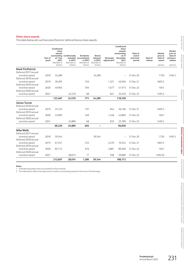#### **Other share awards**

|                                                                 | Conditional<br>share<br>awards<br>outstanding |                                           | Conditionally                               | <b>Dividends</b>                                             | <b>Shares</b>                                |                                     | Conditional<br>share<br>awards<br>outstanding<br>at 31 | Date of<br>end of    | Market<br>price at                                | Market<br>price at<br>date of    |
|-----------------------------------------------------------------|-----------------------------------------------|-------------------------------------------|---------------------------------------------|--------------------------------------------------------------|----------------------------------------------|-------------------------------------|--------------------------------------------------------|----------------------|---------------------------------------------------|----------------------------------|
|                                                                 | Year of<br>grant                              | at 1 Jan<br>2021<br>(Number of<br>shares) | awarded<br>in 2021<br>(Number of<br>shares) | accumulated<br>in 2021 <sup>1</sup><br>(Number of<br>shares) | released<br>in 2021<br>(Number of<br>shares) | Demerger<br>adjustment <sup>2</sup> | December<br>2021<br>(Number of<br>shares)              | restricted<br>period | Date of<br>date of<br>release<br>award<br>(pence) | vesting or<br>release<br>(pence) |
| <b>Mark FitzPatrick</b><br>Deferred 2017 annual                 |                                               |                                           |                                             |                                                              |                                              |                                     |                                                        |                      |                                                   |                                  |
| incentive award<br>Deferred 2018 annual                         | 2018                                          | 34,289                                    |                                             |                                                              | 34,289                                       |                                     |                                                        | 31 Dec 20            | 1750                                              | 1495.5                           |
| incentive award<br>Deferred 2019 annual                         | 2019                                          | 39,295                                    |                                             | 310                                                          |                                              | 1.321                               | 40,926                                                 | 31 Dec 21            | 1605.5                                            |                                  |
| incentive award<br>Deferred 2020 annual                         | 2020                                          | 49,903                                    |                                             | 393                                                          |                                              | 1,677                               | 51,973                                                 | 31 Dec 22            | 1047                                              |                                  |
| incentive award                                                 | 2021                                          | 123,487                                   | 24,570<br>24,570                            | 68<br>771                                                    | 34,289                                       | 821                                 | 25,459<br>118,358                                      | 31 Dec 23            | 1495.5                                            |                                  |
| <b>James Turner</b>                                             |                                               |                                           |                                             |                                                              |                                              |                                     |                                                        |                      |                                                   |                                  |
| Deferred 2018 annual                                            |                                               |                                           |                                             |                                                              |                                              |                                     |                                                        |                      |                                                   |                                  |
| incentive award<br>Deferred 2019 annual                         | 2019                                          | 25,125                                    |                                             | 197                                                          |                                              | 844                                 | 26,166                                                 | 31 Dec 21            | 1605.5                                            |                                  |
| incentive award<br>Deferred 2020 annual                         | 2020                                          | 43,095                                    |                                             | 340                                                          |                                              | 1.448                               | 44,883                                                 | 31 Dec 22            | 1047                                              |                                  |
| incentive award                                                 | 2021                                          |                                           | 24,889                                      | 68                                                           |                                              | 832                                 | 25,789                                                 | 31 Dec 23            | 1495.5                                            |                                  |
|                                                                 |                                               | 68,220                                    | 24,889                                      | 605                                                          | $\qquad \qquad -$                            |                                     | 96,838                                                 |                      |                                                   |                                  |
| <b>Mike Wells</b>                                               |                                               |                                           |                                             |                                                              |                                              |                                     |                                                        |                      |                                                   |                                  |
| Deferred 2017 annual<br>incentive award<br>Deferred 2018 annual | 2018                                          | 59,344                                    |                                             |                                                              | 59,344                                       |                                     | $\overline{\phantom{a}}$                               | 31 Dec 20            | 1750                                              | 1495.5                           |
| incentive award<br>Deferred 2019 annual                         | 2019                                          | 67,551                                    |                                             | 533                                                          |                                              | 2,270                               | 70,354                                                 | 31 Dec 21            | 1605.5                                            |                                  |
| incentive award<br>Deferred 2020 annual                         | 2020                                          | 85,712                                    |                                             | 676                                                          |                                              | 2,881                               | 89,269                                                 | 31 Dec 22            | 1047                                              |                                  |
| incentive award                                                 | 2021                                          |                                           | 28,074                                      | 77                                                           |                                              | 938                                 | 29,089                                                 | 31 Dec 23            | 1495.50                                           |                                  |
|                                                                 |                                               | 212,607                                   | 28,074                                      | 1,286                                                        | 59,344                                       |                                     | 188,712                                                |                      |                                                   |                                  |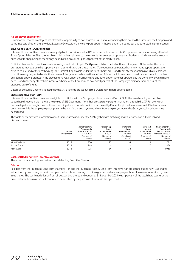#### **All-employee share plans**

It is important that all employees are offered the opportunity to own shares in Prudential, connecting them both to the success of the Company and to the interests of other shareholders. Executive Directors are invited to participate in these plans on the same basis as other staff in their location.

#### **Save As You Earn (SAYE) schemes**

UK-based Executive Directors are normally eligible to participate in the HM Revenue and Customs (HMRC) approved Prudential Savings-Related Share Option Scheme. This scheme allows all eligible employees to save towards the exercise of options over Prudential plc shares with the option price set at the beginning of the savings period at a discount of up to 20 per cent of the market price.

Participants are able to elect to enter into savings contracts of up to £500 per month for a period of three or five years. At the end of this term, participants may exercise their options within six months and purchase shares. If an option is not exercised within six months, participants are entitled to a refund of their cash savings plus interest if applicable under the rules. Shares are issued to satisfy those options which are exercised. No options may be granted under the schemes if the grant would cause the number of shares which have been issued, or which remain issuable pursuant to options granted in the preceding 10 years under the scheme and any other option schemes operated by the Company, or which have been issued under any other share incentive scheme of the Company, to exceed 10 per cent of the Company's ordinary share capital at the proposed date of grant.

Details of Executive Directors' rights under the SAYE scheme are set out in the 'Outstanding share options' table.

#### **Share Incentive Plan (SIP)**

UK-based Executive Directors are also eligible to participate in the Company's Share Incentive Plan (SIP). All UK-based employees are able to purchase Prudential plc shares up to a value of £150 per month from their gross salary (partnership shares) through the SIP. For every four partnership shares bought, an additional matching share is awarded which is purchased by Prudential plc on the open market. Dividend shares accumulate while the employee participates in the plan. If the employee withdraws from the plan, or leaves the Group, matching shares may be forfeited.

The table below provides information about shares purchased under the SIP together with matching shares (awarded on a 1:4 basis) and dividend shares.

|                  | Year of<br>initial grant | <b>Share Incentive</b><br>Plan awards<br>held in Trust at<br>1 Jan 2021<br>(Number of<br>shares) | Partnership<br>shares<br>accumulated<br>in 2021<br>(Number of<br>shares) | Matching<br>shares<br>accumulated<br>in 2021<br>(Number of<br>shares) | Dividend<br>shares<br>accumulated<br>in 2021<br>(Number of<br>shares) | <b>Share Incentive</b><br>Plan awards<br>held in Trust at<br>31 December 2021<br>(Number of<br>shares) |
|------------------|--------------------------|--------------------------------------------------------------------------------------------------|--------------------------------------------------------------------------|-----------------------------------------------------------------------|-----------------------------------------------------------------------|--------------------------------------------------------------------------------------------------------|
| Mark FitzPatrick | 2017                     | 570                                                                                              | 125                                                                      | 31                                                                    |                                                                       | 731                                                                                                    |
| James Turner     | 2011                     | 849                                                                                              | $\overline{\phantom{m}}$                                                 | $\overline{\phantom{m}}$                                              |                                                                       | 856                                                                                                    |
| Mike Wells       | 2015                     | 925                                                                                              | 124                                                                      | 31                                                                    |                                                                       | 1,088                                                                                                  |

#### **Cash-settled long-term incentive awards**

There are no outstanding cash settled awards held by Executive Directors.

#### **Dilution**

Releases from the Prudential Long Term Incentive Plan and the Prudential Agency Long Term Incentive Plan are satisfied using new issue shares rather than by purchasing shares in the open market. Shares relating to options granted under all-employee share plans are also satisfied by new issue shares. The combined dilution from all outstanding shares and options at 31 December 2021 was 1 per cent of the total share capital at the time. Deferred bonus awards will continue to be satisfied by the purchase of shares in the open market.